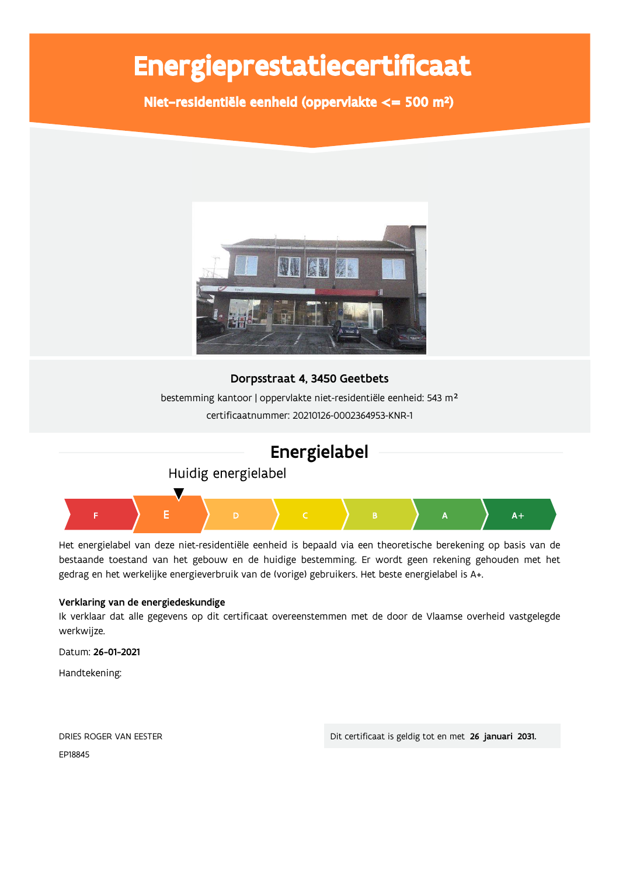# Energieprestatiecertificaat

Niet-residentiële eenheid (oppervlakte <= 500 m<sup>2</sup>)







Het energielabel van deze niet-residentiële eenheid is bepaald via een theoretische berekening op basis van de bestaande toestand van het gebouw en de huidige bestemming. Er wordt geen rekening gehouden met het gedrag en het werkelijke energieverbruik van de (vorige) gebruikers. Het beste energielabel is A+.

#### Verklaring van de energiedeskundige

Ik verklaar dat alle gegevens op dit certificaat overeenstemmen met de door de Vlaamse overheid vastgelegde werkwijze.

Datum: 26-01-2021

Handtekening:

| DRIES ROGER VAN EESTER |  |
|------------------------|--|
| EP18845                |  |

Dit certificaat is geldig tot en met 26 januari 2031.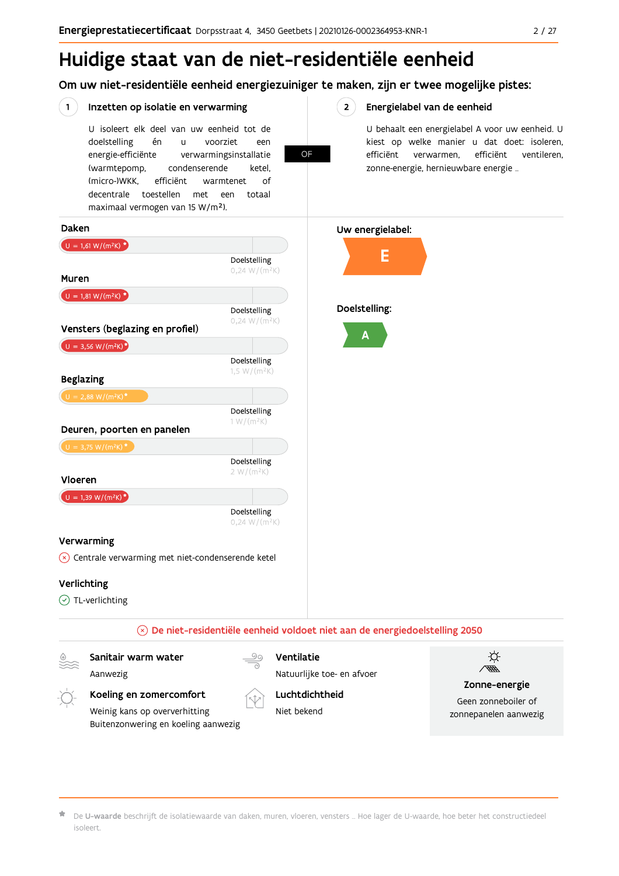# Huidige staat van de niet-residentiële eenheid

Om uw niet-residentiële eenheid energiezuiniger te maken, zijn er twee mogelijke pistes:

#### Inzetten op isolatie en verwarming

 $(1)$ 

U isoleert elk deel van uw eenheid tot de voorziet doelstelling én  $\overline{11}$ een energie-efficiënte verwarmingsinstallatie (warmtepomp, condenserende ketel. (micro-)WKK. efficiënt warmtenet  $\bigcap_{ }$ decentrale toestellen met een totaal maximaal vermogen van 15 W/m<sup>2</sup>).

**OF** 

#### $2^{\circ}$ Energielabel van de eenheid

U behaalt een energielabel A voor uw eenheid. U kiest op welke manier u dat doet: isoleren, efficiënt verwarmen, efficiënt ventileren, zonne-energie, hernieuwbare energie ...



De U-waarde beschrijft de isolatiewaarde van daken, muren, vloeren, vensters ... Hoe lager de U-waarde, hoe beter het constructiedeel isoleert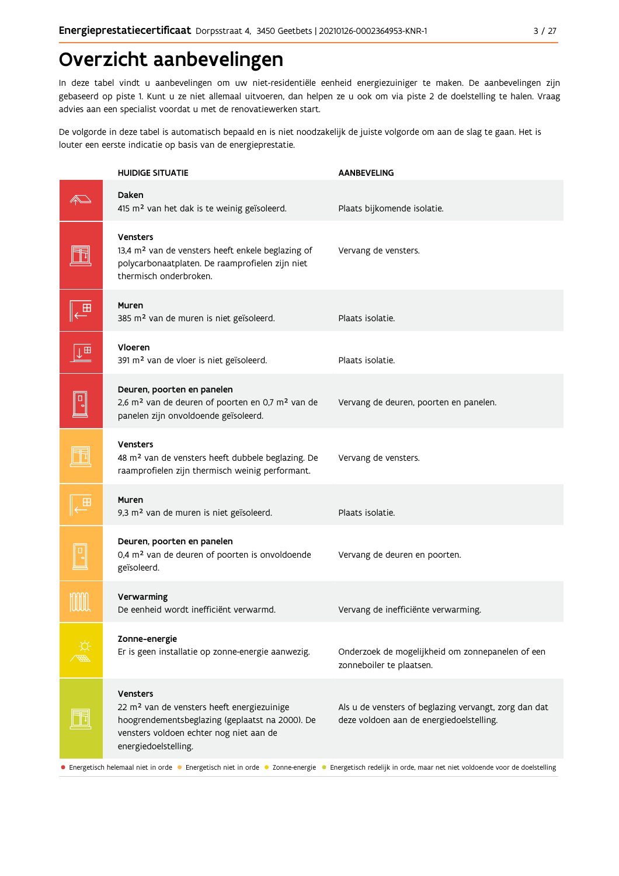## Overzicht aanbevelingen

In deze tabel vindt u aanbevelingen om uw niet-residentiële eenheid energiezuiniger te maken. De aanbevelingen zijn gebaseerd op piste 1. Kunt u ze niet allemaal uitvoeren, dan helpen ze u ook om via piste 2 de doelstelling te halen. Vraag advies aan een specialist voordat u met de renovatiewerken start.

De volgorde in deze tabel is automatisch bepaald en is niet noodzakelijk de juiste volgorde om aan de slag te gaan. Het is louter een eerste indicatie op basis van de energieprestatie.

| Daken<br>415 m <sup>2</sup> van het dak is te weinig geïsoleerd.<br>Plaats bijkomende isolatie.<br><b>Vensters</b><br>13,4 m <sup>2</sup> van de vensters heeft enkele beglazing of<br>Vervang de vensters.<br>polycarbonaatplaten. De raamprofielen zijn niet<br>thermisch onderbroken.<br>Muren<br>←<br>385 m <sup>2</sup> van de muren is niet geïsoleerd.<br>Plaats isolatie.<br>Vloeren<br>⊺⊞<br>391 m <sup>2</sup> van de vloer is niet geïsoleerd.<br>Plaats isolatie.<br>Deuren, poorten en panelen<br>$\boxed{\Box}$<br>2,6 m <sup>2</sup> van de deuren of poorten en 0,7 m <sup>2</sup> van de<br>Vervang de deuren, poorten en panelen.<br>panelen zijn onvoldoende geïsoleerd.<br><b>Vensters</b><br>48 m <sup>2</sup> van de vensters heeft dubbele beglazing. De<br>Vervang de vensters.<br>raamprofielen zijn thermisch weinig performant.<br>Muren<br>9,3 m <sup>2</sup> van de muren is niet geïsoleerd.<br>Plaats isolatie.<br>Deuren, poorten en panelen<br>0,4 m <sup>2</sup> van de deuren of poorten is onvoldoende<br>Vervang de deuren en poorten.<br>geïsoleerd.<br>Verwarming | <b>HUIDIGE SITUATIE</b>                | <b>AANBEVELING</b> |
|----------------------------------------------------------------------------------------------------------------------------------------------------------------------------------------------------------------------------------------------------------------------------------------------------------------------------------------------------------------------------------------------------------------------------------------------------------------------------------------------------------------------------------------------------------------------------------------------------------------------------------------------------------------------------------------------------------------------------------------------------------------------------------------------------------------------------------------------------------------------------------------------------------------------------------------------------------------------------------------------------------------------------------------------------------------------------------------------------------|----------------------------------------|--------------------|
|                                                                                                                                                                                                                                                                                                                                                                                                                                                                                                                                                                                                                                                                                                                                                                                                                                                                                                                                                                                                                                                                                                          |                                        |                    |
|                                                                                                                                                                                                                                                                                                                                                                                                                                                                                                                                                                                                                                                                                                                                                                                                                                                                                                                                                                                                                                                                                                          |                                        |                    |
|                                                                                                                                                                                                                                                                                                                                                                                                                                                                                                                                                                                                                                                                                                                                                                                                                                                                                                                                                                                                                                                                                                          |                                        |                    |
|                                                                                                                                                                                                                                                                                                                                                                                                                                                                                                                                                                                                                                                                                                                                                                                                                                                                                                                                                                                                                                                                                                          |                                        |                    |
|                                                                                                                                                                                                                                                                                                                                                                                                                                                                                                                                                                                                                                                                                                                                                                                                                                                                                                                                                                                                                                                                                                          |                                        |                    |
|                                                                                                                                                                                                                                                                                                                                                                                                                                                                                                                                                                                                                                                                                                                                                                                                                                                                                                                                                                                                                                                                                                          |                                        |                    |
|                                                                                                                                                                                                                                                                                                                                                                                                                                                                                                                                                                                                                                                                                                                                                                                                                                                                                                                                                                                                                                                                                                          |                                        |                    |
|                                                                                                                                                                                                                                                                                                                                                                                                                                                                                                                                                                                                                                                                                                                                                                                                                                                                                                                                                                                                                                                                                                          |                                        |                    |
| Vervang de inefficiënte verwarming.                                                                                                                                                                                                                                                                                                                                                                                                                                                                                                                                                                                                                                                                                                                                                                                                                                                                                                                                                                                                                                                                      | De eenheid wordt inefficiënt verwarmd. |                    |
| Zonne-energie<br>Er is geen installatie op zonne-energie aanwezig.<br>Onderzoek de mogelijkheid om zonnepanelen of een<br>zonneboiler te plaatsen.                                                                                                                                                                                                                                                                                                                                                                                                                                                                                                                                                                                                                                                                                                                                                                                                                                                                                                                                                       |                                        |                    |
| <b>Vensters</b><br>22 m <sup>2</sup> van de vensters heeft energiezuinige<br>Als u de vensters of beglazing vervangt, zorg dan dat<br>hoogrendementsbeglazing (geplaatst na 2000). De<br>deze voldoen aan de energiedoelstelling.<br>vensters voldoen echter nog niet aan de<br>energiedoelstelling.<br>• Energetisch helemaal niet in orde • Energetisch niet in orde • Zonne-energie • Energetisch redelijk in orde, maar net niet voldoende voor de doelstelling                                                                                                                                                                                                                                                                                                                                                                                                                                                                                                                                                                                                                                      |                                        |                    |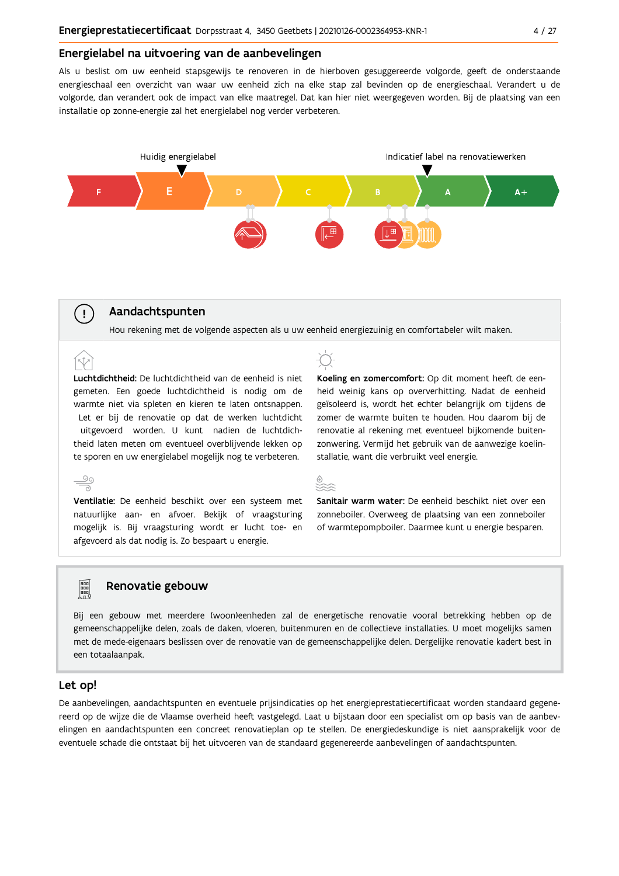#### Energielabel na uitvoering van de aanbevelingen

Als u beslist om uw eenheid stapsgewijs te renoveren in de hierboven gesuggereerde volgorde, geeft de onderstaande energieschaal een overzicht van waar uw eenheid zich na elke stap zal bevinden op de energieschaal. Verandert u de volgorde, dan verandert ook de impact van elke maatregel. Dat kan hier niet weergegeven worden. Bij de plaatsing van een installatie op zonne-energie zal het energielabel nog verder verbeteren.



#### Aandachtspunten

 $\left(\begin{array}{c} 1 \end{array}\right)$ 

 $\stackrel{90}{\equiv}$ 

**POD**<br>POD<br>POD

Hou rekening met de volgende aspecten als u uw eenheid energiezuinig en comfortabeler wilt maken.

Luchtdichtheid: De luchtdichtheid van de eenheid is niet gemeten. Een goede luchtdichtheid is nodig om de warmte niet via spleten en kieren te laten ontsnappen. Let er bij de renovatie op dat de werken luchtdicht uitgevoerd worden. U kunt nadien de luchtdichtheid laten meten om eventueel overblijvende lekken op te sporen en uw energielabel mogelijk nog te verbeteren.

Ventilatie: De eenheid beschikt over een systeem met natuurlijke aan- en afvoer. Bekijk of vraagsturing mogelijk is. Bij vraagsturing wordt er lucht toe- en afgevoerd als dat nodig is. Zo bespaart u energie.

#### Renovatie gebouw

Bij een gebouw met meerdere (woon)eenheden zal de energetische renovatie vooral betrekking hebben op de gemeenschappelijke delen, zoals de daken, vloeren, buitenmuren en de collectieve installaties. U moet mogelijks samen met de mede-eigenaars beslissen over de renovatie van de gemeenschappelijke delen. Dergelijke renovatie kadert best in een totaalaanpak.

#### Let op!

De aanbevelingen, aandachtspunten en eventuele prijsindicaties op het energieprestatiecertificaat worden standaard gegenereerd op de wijze die de Vlaamse overheid heeft vastgelegd. Laat u bijstaan door een specialist om op basis van de aanbevelingen en aandachtspunten een concreet renovatieplan op te stellen. De energiedeskundige is niet aansprakelijk voor de eventuele schade die ontstaat bij het uitvoeren van de standaard gegenereerde aanbevelingen of aandachtspunten.





Sanitair warm water: De eenheid beschikt niet over een zonneboiler. Overweeg de plaatsing van een zonneboiler of warmtepompboiler. Daarmee kunt u energie besparen.

heid weinig kans op oververhitting. Nadat de eenheid

geïsoleerd is, wordt het echter belangrijk om tijdens de

zomer de warmte buiten te houden. Hou daarom bij de

renovatie al rekening met eventueel bijkomende buiten-

zonwering. Vermijd het gebruik van de aanwezige koelin-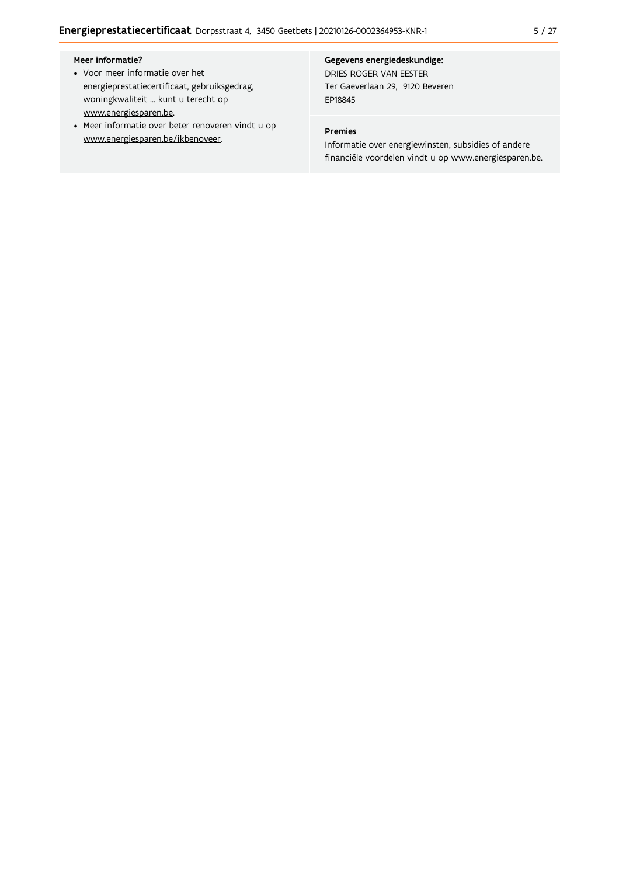#### Meer informatie?

- Voor meer informatie over het energieprestatiecertificaat, gebruiksgedrag, woningkwaliteit ... kunt u terecht op www.energiesparen.be.
- Meer informatie over beter renoveren vindt u op www.energiesparen.be/ikbenoveer.

#### Gegevens energiedeskundige:

DRIES ROGER VAN EESTER Ter Gaeverlaan 29, 9120 Beveren EP18845

#### Premies

Informatie over energiewinsten, subsidies of andere financiële voordelen vindt u op www.energiesparen.be.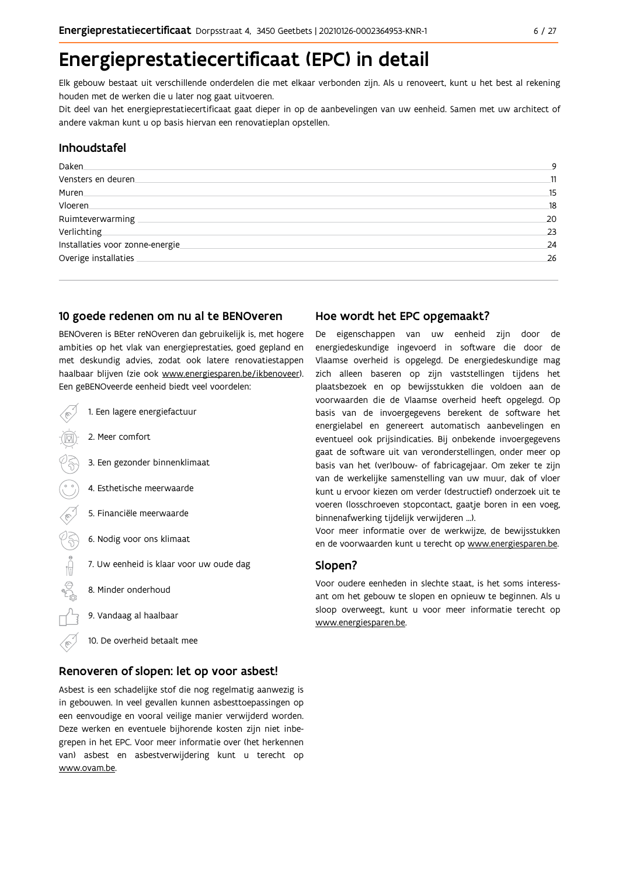# Energieprestatiecertificaat (EPC) in detail

Elk gebouw bestaat uit verschillende onderdelen die met elkaar verbonden zijn. Als u renoveert, kunt u het best al rekening houden met de werken die u later nog gaat uitvoeren.

Dit deel van het energieprestatiecertificaat gaat dieper in op de aanbevelingen van uw eenheid. Samen met uw architect of andere vakman kunt u op basis hiervan een renovatieplan opstellen.

#### Inhoudstafel

| Daken.                          | q  |
|---------------------------------|----|
| Vensters en deuren              | 11 |
| Muren                           | 15 |
| Vloeren                         | 18 |
| Ruimteverwarming                | 20 |
| Verlichting                     | 23 |
| Installaties voor zonne-energie | 24 |
| Overige installaties            | 26 |
|                                 |    |

#### 10 goede redenen om nu al te BENOveren

BENOveren is BEter reNOveren dan gebruikelijk is, met hogere ambities op het vlak van energieprestaties, goed gepland en met deskundig advies, zodat ook latere renovatiestappen haalbaar blijven (zie ook www.energiesparen.be/ikbenoveer). Een geBENOveerde eenheid biedt veel voordelen:

- 1. Een lagere energiefactuur 2. Meer comfort 3. Een gezonder binnenklimaat 4. Esthetische meerwaarde 5. Financiële meerwaarde  $\frac{1}{2}$ 6. Nodig voor ons klimaat 7. Uw eenheid is klaar voor uw oude dag 8. Minder onderhoud 9. Vandaag al haalbaar
	- 10. De overheid betaalt mee

#### Renoveren of slopen: let op voor asbest!

Asbest is een schadelijke stof die nog regelmatig aanwezig is in gebouwen. In veel gevallen kunnen asbesttoepassingen op een eenvoudige en vooral veilige manier verwijderd worden. Deze werken en eventuele bijhorende kosten zijn niet inbegrepen in het EPC. Voor meer informatie over (het herkennen van) asbest en asbestverwijdering kunt u terecht op www.ovam.be.

#### Hoe wordt het EPC opgemaakt?

De eigenschappen van uw eenheid zijn door de energiedeskundige ingevoerd in software die door de Vlaamse overheid is opgelegd. De energiedeskundige mag zich alleen baseren op zijn vaststellingen tijdens het plaatsbezoek en op bewijsstukken die voldoen aan de voorwaarden die de Vlaamse overheid heeft opgelegd. Op basis van de invoergegevens berekent de software het energielabel en genereert automatisch aanbevelingen en eventueel ook prijsindicaties. Bij onbekende invoergegevens gaat de software uit van veronderstellingen, onder meer op basis van het (ver)bouw- of fabricagejaar. Om zeker te zijn van de werkelijke samenstelling van uw muur, dak of vloer kunt u ervoor kiezen om verder (destructief) onderzoek uit te voeren (losschroeven stopcontact, gaatje boren in een voeg, binnenafwerking tijdelijk verwijderen ...).

Voor meer informatie over de werkwijze, de bewijsstukken en de voorwaarden kunt u terecht op www.energiesparen.be.

#### Slopen?

Voor oudere eenheden in slechte staat, is het soms interessant om het gebouw te slopen en opnieuw te beginnen. Als u sloop overweegt, kunt u voor meer informatie terecht op www.energiesparen.be.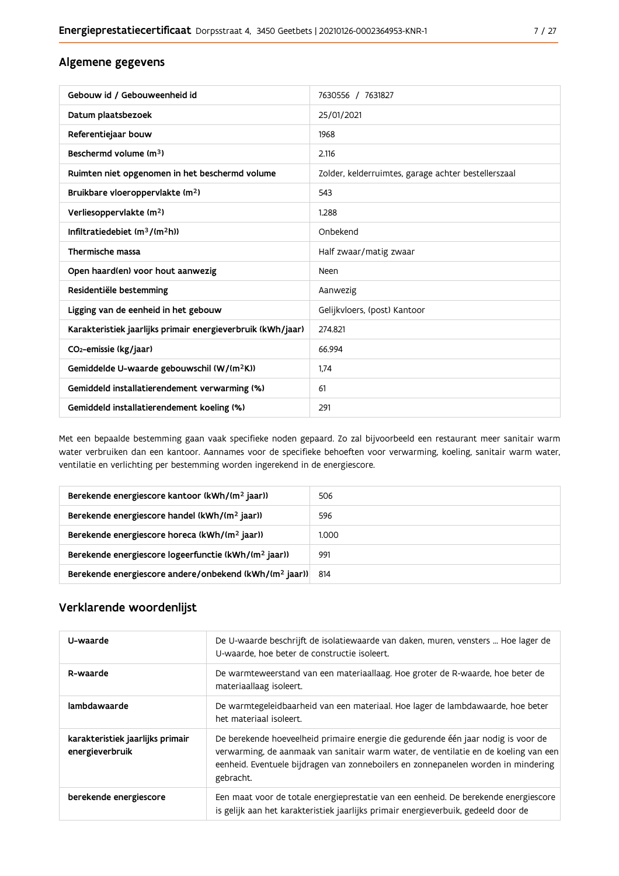#### Algemene gegevens

| Gebouw id / Gebouweenheid id                                | 7630556 / 7631827                                   |
|-------------------------------------------------------------|-----------------------------------------------------|
| Datum plaatsbezoek                                          | 25/01/2021                                          |
| Referentiejaar bouw                                         | 1968                                                |
| Beschermd volume (m <sup>3</sup> )                          | 2.116                                               |
| Ruimten niet opgenomen in het beschermd volume              | Zolder, kelderruimtes, garage achter bestellerszaal |
| Bruikbare vloeroppervlakte (m <sup>2</sup> )                | 543                                                 |
| Verliesoppervlakte (m <sup>2</sup> )                        | 1.288                                               |
| Infiltratiedebiet $(m^3/(m^2h))$                            | Onbekend                                            |
| Thermische massa                                            | Half zwaar/matig zwaar                              |
| Open haard(en) voor hout aanwezig                           | Neen                                                |
| Residentiële bestemming                                     | Aanwezig                                            |
| Ligging van de eenheid in het gebouw                        | Gelijkvloers, (post) Kantoor                        |
| Karakteristiek jaarlijks primair energieverbruik (kWh/jaar) | 274.821                                             |
| CO <sub>2</sub> -emissie (kg/jaar)                          | 66.994                                              |
| Gemiddelde U-waarde gebouwschil (W/(m <sup>2</sup> K))      | 1,74                                                |
| Gemiddeld installatierendement verwarming (%)               | 61                                                  |
| Gemiddeld installatierendement koeling (%)                  | 291                                                 |

Met een bepaalde bestemming gaan vaak specifieke noden gepaard. Zo zal bijvoorbeeld een restaurant meer sanitair warm water verbruiken dan een kantoor. Aannames voor de specifieke behoeften voor verwarming, koeling, sanitair warm water, ventilatie en verlichting per bestemming worden ingerekend in de energiescore.

| Berekende energiescore kantoor (kWh/(m <sup>2</sup> jaar))         | 506   |
|--------------------------------------------------------------------|-------|
| Berekende energiescore handel (kWh/(m <sup>2</sup> jaar))          | 596   |
| Berekende energiescore horeca (kWh/(m <sup>2</sup> jaar))          | 1.000 |
| Berekende energiescore logeerfunctie (kWh/(m <sup>2</sup> jaar))   | 991   |
| Berekende energiescore andere/onbekend (kWh/(m <sup>2</sup> jaar)) | 814   |

#### Verklarende woordenlijst

| U-waarde                                            | De U-waarde beschrijft de isolatiewaarde van daken, muren, vensters  Hoe lager de<br>U-waarde, hoe beter de constructie isoleert.                                                                                                                                          |
|-----------------------------------------------------|----------------------------------------------------------------------------------------------------------------------------------------------------------------------------------------------------------------------------------------------------------------------------|
| R-waarde                                            | De warmteweerstand van een materiaallaag. Hoe groter de R-waarde, hoe beter de<br>materiaallaag isoleert.                                                                                                                                                                  |
| lambdawaarde                                        | De warmtegeleidbaarheid van een materiaal. Hoe lager de lambdawaarde, hoe beter<br>het materiaal isoleert.                                                                                                                                                                 |
| karakteristiek jaarlijks primair<br>energieverbruik | De berekende hoeveelheid primaire energie die gedurende één jaar nodig is voor de<br>verwarming, de aanmaak van sanitair warm water, de ventilatie en de koeling van een<br>eenheid. Eventuele bijdragen van zonneboilers en zonnepanelen worden in mindering<br>gebracht. |
| berekende energiescore                              | Een maat voor de totale energieprestatie van een eenheid. De berekende energiescore<br>is gelijk aan het karakteristiek jaarlijks primair energieverbuik, gedeeld door de                                                                                                  |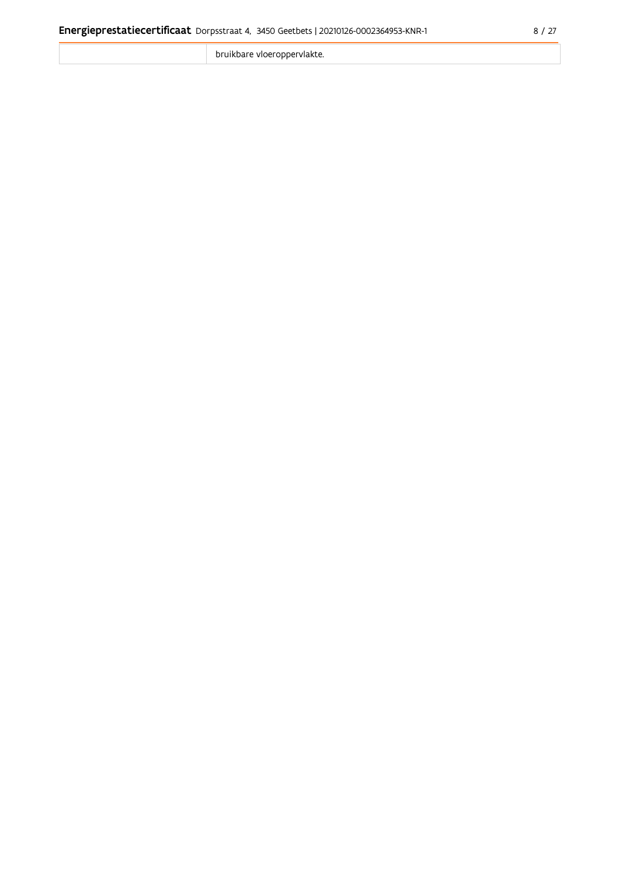bruikbare vloeroppervlakte.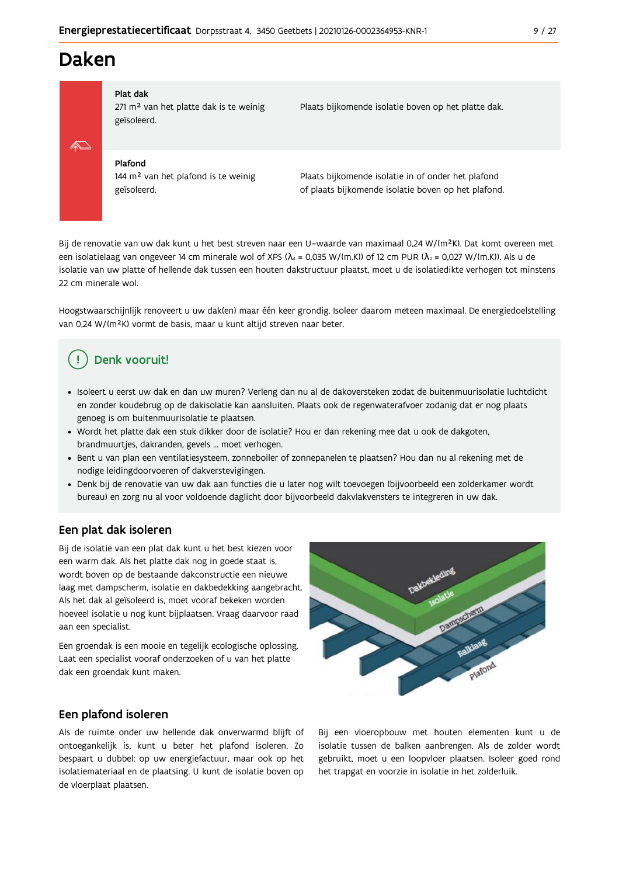### **Daken**



#### Plat dak

271 m<sup>2</sup> van het platte dak is te weinig geïsoleerd.

Plaats bijkomende isolatie boven op het platte dak.

#### Plafond

144 m<sup>2</sup> van het plafond is te weinig geïsoleerd.

Plaats bijkomende isolatie in of onder het plafond of plaats bijkomende isolatie boven op het plafond.

Bij de renovatie van uw dak kunt u het best streven naar een U-waarde van maximaal 0,24 W/(m<sup>2</sup>K). Dat komt overeen met een isolatielaag van ongeveer 14 cm minerale wol of XPS ( $\lambda_a$  = 0,035 W/(m.K)) of 12 cm PUR ( $\lambda_a$  = 0,027 W/(m.K)). Als u de isolatie van uw platte of hellende dak tussen een houten dakstructuur plaatst, moet u de isolatiedikte verhogen tot minstens 22 cm minerale wol.

Hoogstwaarschijnlijk renoveert u uw dak(en) maar één keer grondig. Isoleer daarom meteen maximaal. De energiedoelstelling van 0,24 W/(m<sup>2</sup>K) vormt de basis, maar u kunt altijd streven naar beter.

### Denk vooruit!

- · Isoleert u eerst uw dak en dan uw muren? Verleng dan nu al de dakoversteken zodat de buitenmuurisolatie luchtdicht en zonder koudebrug op de dakisolatie kan aansluiten. Plaats ook de regenwaterafvoer zodanig dat er nog plaats genoeg is om buitenmuurisolatie te plaatsen.
- · Wordt het platte dak een stuk dikker door de isolatie? Hou er dan rekening mee dat u ook de dakgoten, brandmuurtjes, dakranden, gevels ... moet verhogen.
- · Bent u van plan een ventilatiesysteem, zonneboiler of zonnepanelen te plaatsen? Hou dan nu al rekening met de nodige leidingdoorvoeren of dakverstevigingen.
- · Denk bij de renovatie van uw dak aan functies die u later nog wilt toevoegen (bijvoorbeeld een zolderkamer wordt bureau) en zorg nu al voor voldoende daglicht door bijvoorbeeld dakvlakvensters te integreren in uw dak.

#### Een plat dak isoleren

Bij de isolatie van een plat dak kunt u het best kiezen voor een warm dak. Als het platte dak nog in goede staat is, wordt boven op de bestaande dakconstructie een nieuwe laag met dampscherm, isolatie en dakbedekking aangebracht. Als het dak al geïsoleerd is, moet vooraf bekeken worden hoeveel isolatie u nog kunt bijplaatsen. Vraag daarvoor raad aan een specialist.

Een groendak is een mooie en tegelijk ecologische oplossing. Laat een specialist vooraf onderzoeken of u van het platte dak een groendak kunt maken.

#### Een plafond isoleren

Als de ruimte onder uw hellende dak onverwarmd blijft of ontoegankelijk is, kunt u beter het plafond isoleren. Zo bespaart u dubbel: op uw energiefactuur, maar ook op het isolatiemateriaal en de plaatsing. U kunt de isolatie boven op de vloerplaat plaatsen.

Bij een vloeropbouw met houten elementen kunt u de isolatie tussen de balken aanbrengen. Als de zolder wordt gebruikt, moet u een loopvloer plaatsen. Isoleer goed rond het trapgat en voorzie in isolatie in het zolderluik.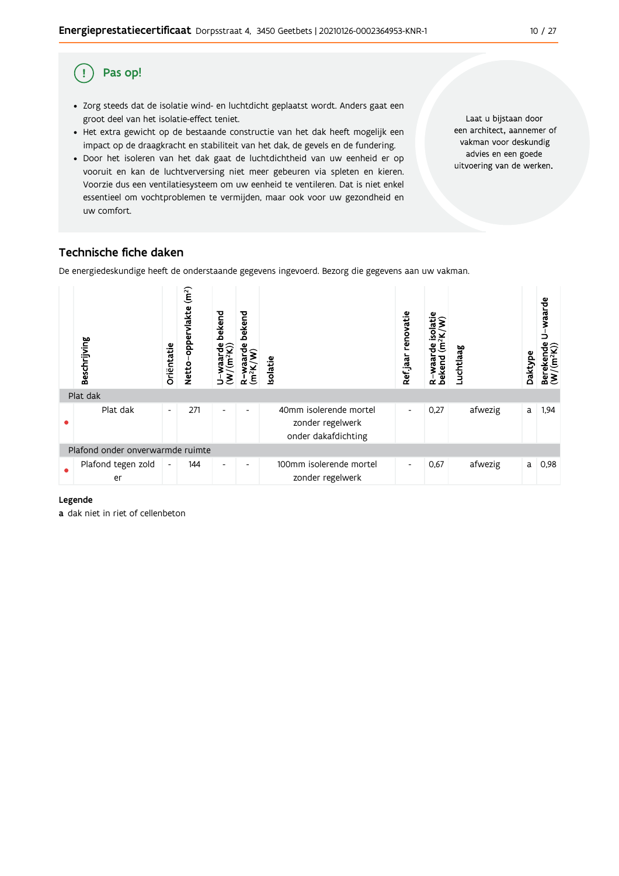#### Pas op! (!

- · Zorg steeds dat de isolatie wind- en luchtdicht geplaatst wordt. Anders gaat een groot deel van het isolatie-effect teniet.
- Het extra gewicht op de bestaande constructie van het dak heeft mogelijk een impact op de draagkracht en stabiliteit van het dak, de gevels en de fundering.
- · Door het isoleren van het dak gaat de luchtdichtheid van uw eenheid er op vooruit en kan de luchtverversing niet meer gebeuren via spleten en kieren. Voorzie dus een ventilatiesysteem om uw eenheid te ventileren. Dat is niet enkel essentieel om vochtproblemen te vermijden, maar ook voor uw gezondheid en uw comfort.

Laat u bijstaan door een architect, aannemer of vakman voor deskundig advies en een goede uitvoering van de werken.

#### Technische fiche daken

De energiedeskundige heeft de onderstaande gegevens ingevoerd. Bezorg die gegevens aan uw vakman.



#### Legende

a dak niet in riet of cellenbeton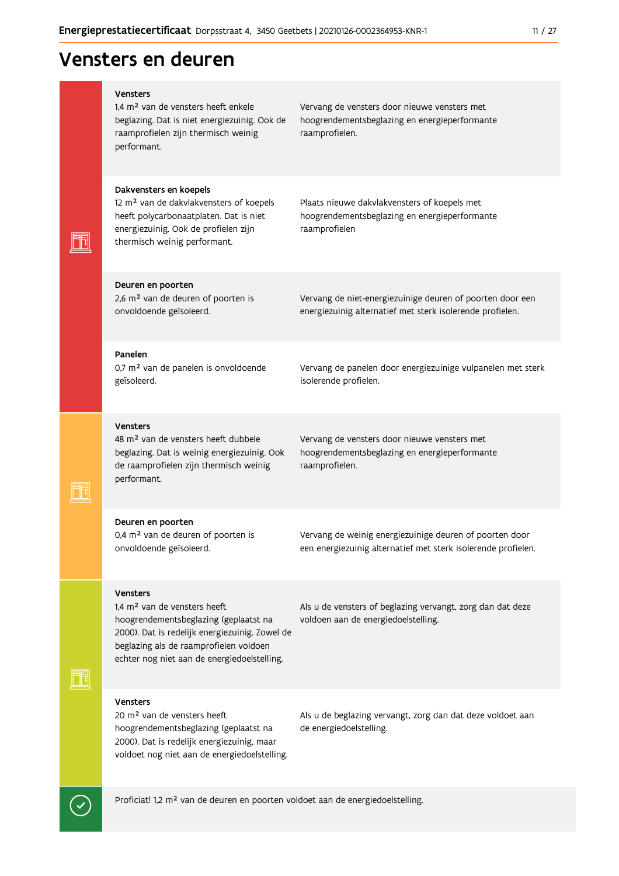## Vensters en deuren

|  | <b>Vensters</b><br>1.4 m <sup>2</sup> van de vensters heeft enkele<br>beglazing. Dat is niet energiezuinig. Ook de<br>raamprofielen zijn thermisch weinig<br>performant.                                                                        | Vervang de vensters door nieuwe vensters met<br>hoogrendementsbeglazing en energieperformante<br>raamprofielen.          |
|--|-------------------------------------------------------------------------------------------------------------------------------------------------------------------------------------------------------------------------------------------------|--------------------------------------------------------------------------------------------------------------------------|
|  | Dakvensters en koepels<br>12 m <sup>2</sup> van de dakvlakvensters of koepels<br>heeft polycarbonaatplaten. Dat is niet<br>energiezuinig. Ook de profielen zijn<br>thermisch weinig performant.                                                 | Plaats nieuwe dakvlakvensters of koepels met<br>hoogrendementsbeglazing en energieperformante<br>raamprofielen           |
|  | Deuren en poorten<br>2,6 m <sup>2</sup> van de deuren of poorten is<br>onvoldoende geïsoleerd.                                                                                                                                                  | Vervang de niet-energiezuinige deuren of poorten door een<br>energiezuinig alternatief met sterk isolerende profielen.   |
|  | Panelen<br>0,7 m <sup>2</sup> van de panelen is onvoldoende<br>geïsoleerd.                                                                                                                                                                      | Vervang de panelen door energiezuinige vulpanelen met sterk<br>isolerende profielen.                                     |
|  | <b>Vensters</b><br>48 m <sup>2</sup> van de vensters heeft dubbele<br>beglazing. Dat is weinig energiezuinig. Ook<br>de raamprofielen zijn thermisch weinig<br>performant.                                                                      | Vervang de vensters door nieuwe vensters met<br>hoogrendementsbeglazing en energieperformante<br>raamprofielen.          |
|  | Deuren en poorten<br>0,4 m <sup>2</sup> van de deuren of poorten is<br>onvoldoende geïsoleerd.                                                                                                                                                  | Vervang de weinig energiezuinige deuren of poorten door<br>een energiezuinig alternatief met sterk isolerende profielen. |
|  | <b>Vensters</b><br>1,4 m <sup>2</sup> van de vensters heeft<br>hoogrendementsbeglazing (geplaatst na<br>2000). Dat is redelijk energiezuinig. Zowel de<br>beglazing als de raamprofielen voldoen<br>echter nog niet aan de energiedoelstelling. | Als u de vensters of beglazing vervangt, zorg dan dat deze<br>voldoen aan de energiedoelstelling.                        |
|  | <b>Vensters</b><br>20 m <sup>2</sup> van de vensters heeft<br>hoogrendementsbeglazing (geplaatst na<br>2000). Dat is redelijk energiezuinig, maar<br>voldoet nog niet aan de energiedoelstelling.                                               | Als u de beglazing vervangt, zorg dan dat deze voldoet aan<br>de energiedoelstelling.                                    |

Proficiat! 1,2 m<sup>2</sup> van de deuren en poorten voldoet aan de energiedoelstelling.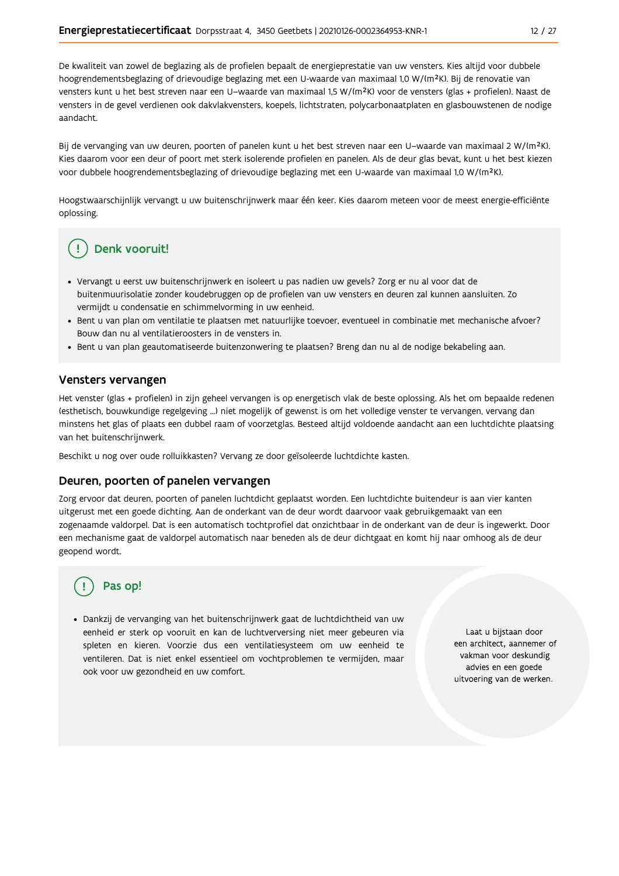De kwaliteit van zowel de beglazing als de profielen bepaalt de energieprestatie van uw vensters. Kies altijd voor dubbele hoogrendementsbeglazing of drievoudige beglazing met een U-waarde van maximaal 1,0 W/(m<sup>2</sup>K). Bij de renovatie van vensters kunt u het best streven naar een U-waarde van maximaal 1,5 W/(m<sup>2</sup>K) voor de vensters (glas + profielen). Naast de vensters in de gevel verdienen ook dakvlakvensters, koepels, lichtstraten, polycarbonaatplaten en glasbouwstenen de nodige aandacht.

Bij de vervanging van uw deuren, poorten of panelen kunt u het best streven naar een U-waarde van maximaal 2 W/(m<sup>2</sup>K). Kies daarom voor een deur of poort met sterk isolerende profielen en panelen. Als de deur glas bevat, kunt u het best kiezen voor dubbele hoogrendementsbeglazing of drievoudige beglazing met een U-waarde van maximaal 1,0 W/(m<sup>2</sup>K).

Hoogstwaarschijnlijk vervangt u uw buitenschrijnwerk maar één keer. Kies daarom meteen voor de meest energie-efficiënte oplossing.

### Denk vooruit!

- · Vervangt u eerst uw buitenschrijnwerk en isoleert u pas nadien uw gevels? Zorg er nu al voor dat de buitenmuurisolatie zonder koudebruggen op de profielen van uw vensters en deuren zal kunnen aansluiten. Zo vermijdt u condensatie en schimmelvorming in uw eenheid.
- Bent u van plan om ventilatie te plaatsen met natuurlijke toevoer, eventueel in combinatie met mechanische afvoer? Bouw dan nu al ventilatieroosters in de vensters in.
- · Bent u van plan geautomatiseerde buitenzonwering te plaatsen? Breng dan nu al de nodige bekabeling aan.

#### Vensters vervangen

Het venster (glas + profielen) in zijn geheel vervangen is op energetisch vlak de beste oplossing. Als het om bepaalde redenen (esthetisch, bouwkundige regelgeving ...) niet mogelijk of gewenst is om het volledige venster te vervangen, vervang dan minstens het glas of plaats een dubbel raam of voorzetglas. Besteed altijd voldoende aandacht aan een luchtdichte plaatsing van het buitenschrijnwerk.

Beschikt u nog over oude rolluikkasten? Vervang ze door geïsoleerde luchtdichte kasten.

#### Deuren, poorten of panelen vervangen

Zorg ervoor dat deuren, poorten of panelen luchtdicht geplaatst worden. Een luchtdichte buitendeur is aan vier kanten uitgerust met een goede dichting. Aan de onderkant van de deur wordt daarvoor vaak gebruikgemaakt van een zogenaamde valdorpel. Dat is een automatisch tochtprofiel dat onzichtbaar in de onderkant van de deur is ingewerkt. Door een mechanisme gaat de valdorpel automatisch naar beneden als de deur dichtgaat en komt hij naar omhoog als de deur geopend wordt.

### Pas op!

· Dankzij de vervanging van het buitenschrijnwerk gaat de luchtdichtheid van uw eenheid er sterk op vooruit en kan de luchtverversing niet meer gebeuren via spleten en kieren. Voorzie dus een ventilatiesysteem om uw eenheid te ventileren. Dat is niet enkel essentieel om vochtproblemen te vermijden, maar ook voor uw gezondheid en uw comfort.

Laat u bijstaan door een architect, aannemer of vakman voor deskundig advies en een goede uitvoering van de werken.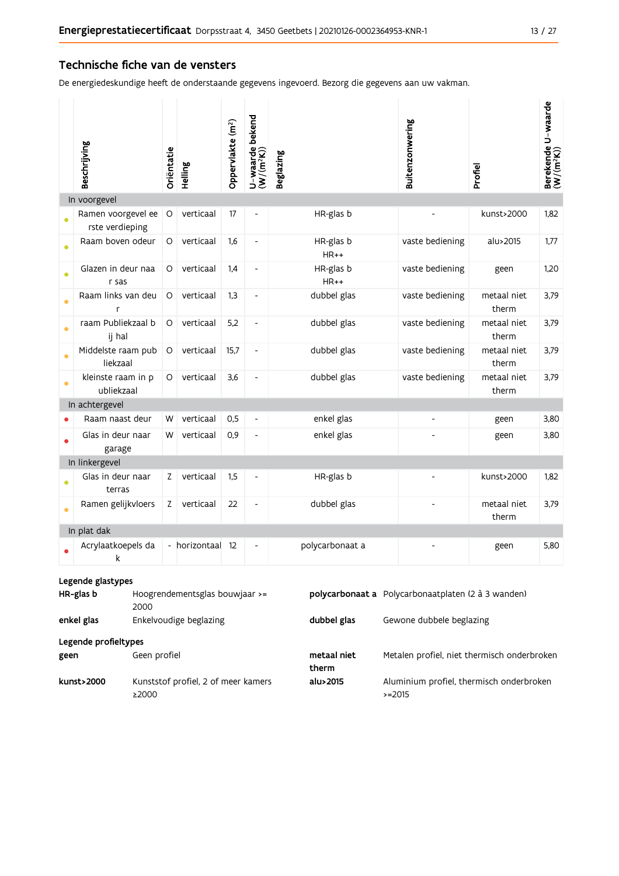#### Technische fiche van de vensters

De energiedeskundige heeft de onderstaande gegevens ingevoerd. Bezorg die gegevens aan uw vakman.

|             | Beschrijving                                                                                                                    | Oriëntatie | Helling       | Oppervlakte (m <sup>2</sup> ) | U-waarde bekend<br>(W/(m <sup>2</sup> K)) | <b>Beglazing</b>    | Buitenzonwering              | Profiel              | Berekende U-waarde<br>(W/(m <sup>2</sup> K)) |
|-------------|---------------------------------------------------------------------------------------------------------------------------------|------------|---------------|-------------------------------|-------------------------------------------|---------------------|------------------------------|----------------------|----------------------------------------------|
|             | In voorgevel                                                                                                                    |            |               |                               |                                           |                     |                              |                      |                                              |
|             | Ramen voorgevel ee<br>rste verdieping                                                                                           | $\circ$    | verticaal     | 17                            | $\overline{a}$                            | HR-glas b           |                              | kunst>2000           | 1,82                                         |
| $\bullet$   | Raam boven odeur                                                                                                                | O          | verticaal     | 1,6                           | ÷,                                        | HR-glas b<br>$HR++$ | vaste bediening              | alu>2015             | 1,77                                         |
| $\bullet$   | Glazen in deur naa<br>r sas                                                                                                     | O          | verticaal     | 1,4                           | $\overline{\phantom{0}}$                  | HR-glas b<br>$HR++$ | vaste bediening              | geen                 | 1,20                                         |
|             | Raam links van deu<br>r                                                                                                         | O          | verticaal     | 1,3                           | $\overline{\phantom{0}}$                  | dubbel glas         | vaste bediening              | metaal niet<br>therm | 3,79                                         |
| $\bullet$   | raam Publiekzaal b<br>ij hal                                                                                                    | O          | verticaal     | 5,2                           | $\overline{\phantom{a}}$                  | dubbel glas         | vaste bediening              | metaal niet<br>therm | 3,79                                         |
|             | Middelste raam pub<br>liekzaal                                                                                                  | O          | verticaal     | 15,7                          | $\overline{\phantom{0}}$                  | dubbel glas         | vaste bediening              | metaal niet<br>therm | 3,79                                         |
| $\bullet$   | kleinste raam in p<br>ubliekzaal                                                                                                | O          | verticaal     | 3,6                           | $\overline{\phantom{0}}$                  | dubbel glas         | vaste bediening              | metaal niet<br>therm | 3,79                                         |
|             | In achtergevel                                                                                                                  |            |               |                               |                                           |                     |                              |                      |                                              |
|             | Raam naast deur                                                                                                                 | W          | verticaal     | 0,5                           | $\blacksquare$                            | enkel glas          | $\qquad \qquad \blacksquare$ | geen                 | 3,80                                         |
|             | Glas in deur naar<br>garage                                                                                                     | W          | verticaal     | 0,9                           | $\overline{\phantom{0}}$                  | enkel glas          |                              | geen                 | 3,80                                         |
|             | In linkergevel                                                                                                                  |            |               |                               |                                           |                     |                              |                      |                                              |
|             | Glas in deur naar<br>terras                                                                                                     | Z          | verticaal     | 1,5                           | $\qquad \qquad \blacksquare$              | HR-glas b           |                              | kunst>2000           | 1,82                                         |
|             | Ramen gelijkvloers                                                                                                              | Z          | verticaal     | 22                            | $\overline{\phantom{0}}$                  | dubbel glas         |                              | metaal niet<br>therm | 3,79                                         |
| In plat dak |                                                                                                                                 |            |               |                               |                                           |                     |                              |                      |                                              |
|             | Acrylaatkoepels da<br>k                                                                                                         |            | - horizontaal | 12                            |                                           | polycarbonaat a     |                              | geen                 | 5,80                                         |
|             | Legende glastypes<br>Hoogrendementsglas bouwiaar $>=$<br><b>polycarbonaat a</b> Polycarbonaatplaten (2 à 3 wanden)<br>HR-glas b |            |               |                               |                                           |                     |                              |                      |                                              |

| HR-glas b            | Hoogrendementsglas bouwjaar >=<br>2000       |                      | polycarbonaat a Polycarbonaatplaten (2 à 3 wanden)   |
|----------------------|----------------------------------------------|----------------------|------------------------------------------------------|
| enkel glas           | Enkelvoudige beglazing                       | dubbel glas          | Gewone dubbele beglazing                             |
| Legende profieltypes |                                              |                      |                                                      |
| geen                 | Geen profiel                                 | metaal niet<br>therm | Metalen profiel, niet thermisch onderbroken          |
| kunst>2000           | Kunststof profiel, 2 of meer kamers<br>≥2000 | alu>2015             | Aluminium profiel, thermisch onderbroken<br>$>=2015$ |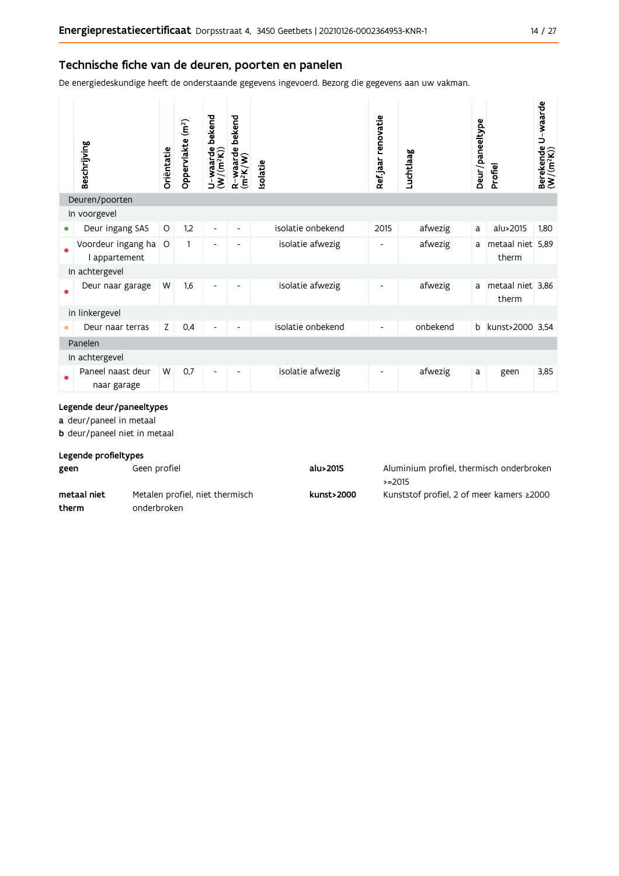#### Technische fiche van de deuren, poorten en panelen

De energiedeskundige heeft de onderstaande gegevens ingevoerd. Bezorg die gegevens aan uw vakman.

|                           | Beschrijving                        | Oriëntatie | Oppervlakte (m <sup>2</sup> ) | bekend<br>$U$ –waarde l $(W/(m^2K))$ | bekend<br>$R$ -waarde $t$<br>$(m2K/W)$ | solatie           | Ref jaar renovatie       | Luchtlaag | Deur/paneeltype | Profiel                   | Berekende U-waarde<br>(W/(m <sup>2</sup> K)) |
|---------------------------|-------------------------------------|------------|-------------------------------|--------------------------------------|----------------------------------------|-------------------|--------------------------|-----------|-----------------|---------------------------|----------------------------------------------|
|                           | Deuren/poorten                      |            |                               |                                      |                                        |                   |                          |           |                 |                           |                                              |
|                           | In voorgevel                        |            |                               |                                      |                                        |                   |                          |           |                 |                           |                                              |
| 0                         | Deur ingang SAS                     | O          | 1,2                           | $\overline{\phantom{a}}$             | -                                      | isolatie onbekend | 2015                     | afwezig   | a               | alu>2015                  | 1,80                                         |
|                           | Voordeur ingang ha<br>I appartement | O          | 1                             | $\overline{\phantom{a}}$             | $\overline{\phantom{a}}$               | isolatie afwezig  | $\overline{\phantom{a}}$ | afwezig   | a               | metaal niet 5,89<br>therm |                                              |
|                           | In achtergevel                      |            |                               |                                      |                                        |                   |                          |           |                 |                           |                                              |
|                           | Deur naar garage                    | W          | 1,6                           | $\overline{\phantom{a}}$             | -                                      | isolatie afwezig  | $\overline{\phantom{a}}$ | afwezig   | a               | metaal niet 3,86<br>therm |                                              |
|                           | in linkergevel                      |            |                               |                                      |                                        |                   |                          |           |                 |                           |                                              |
|                           | Deur naar terras                    | Z          | 0,4                           | $\overline{\phantom{a}}$             |                                        | isolatie onbekend | $\overline{\phantom{a}}$ | onbekend  | b               | kunst>2000 3,54           |                                              |
| Panelen<br>In achtergevel |                                     |            |                               |                                      |                                        |                   |                          |           |                 |                           |                                              |
|                           | Paneel naast deur<br>naar garage    | W          | 0,7                           |                                      |                                        | isolatie afwezig  |                          | afwezig   | a               | geen                      | 3,85                                         |

#### Legende deur/paneeltypes

a deur/paneel in metaal

**b** deur/paneel niet in metaal

#### Legende profieltypes

| geen        | Geen profiel                    | alu>2015   | Aluminium profiel, thermisch onderbroken<br>$> = 2015$ |
|-------------|---------------------------------|------------|--------------------------------------------------------|
| metaal niet | Metalen profiel, niet thermisch | kunst>2000 | Kunststof profiel, 2 of meer kamers ≥2000              |
| therm       | onderbroken                     |            |                                                        |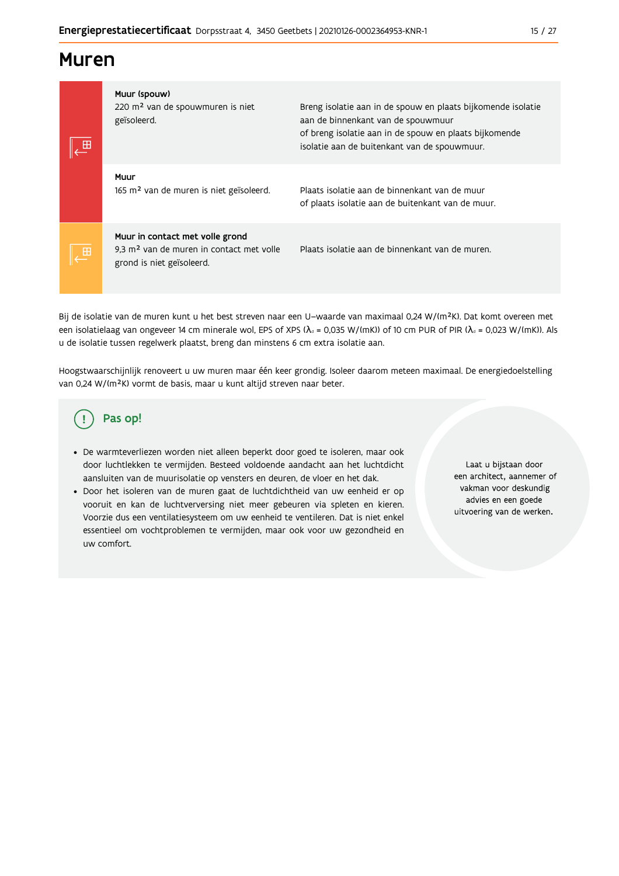### **Muren**

| ∠⊞ | Muur (spouw)<br>220 m <sup>2</sup> van de spouwmuren is niet<br>geïsoleerd.                                          | Breng isolatie aan in de spouw en plaats bijkomende isolatie<br>aan de binnenkant van de spouwmuur<br>of breng isolatie aan in de spouw en plaats bijkomende<br>isolatie aan de buitenkant van de spouwmuur. |  |  |  |
|----|----------------------------------------------------------------------------------------------------------------------|--------------------------------------------------------------------------------------------------------------------------------------------------------------------------------------------------------------|--|--|--|
|    | Muur<br>165 m <sup>2</sup> van de muren is niet geïsoleerd.                                                          | Plaats isolatie aan de binnenkant van de muur<br>of plaats isolatie aan de buitenkant van de muur.                                                                                                           |  |  |  |
| 田  | Muur in contact met volle grond<br>9.3 m <sup>2</sup> van de muren in contact met volle<br>grond is niet geïsoleerd. | Plaats isolatie aan de binnenkant van de muren.                                                                                                                                                              |  |  |  |

Bij de isolatie van de muren kunt u het best streven naar een U-waarde van maximaal 0,24 W/(m<sup>2</sup>K). Dat komt overeen met een isolatielaag van ongeveer 14 cm minerale wol, EPS of XPS ( $\lambda_a$  = 0,035 W/(mK)) of 10 cm PUR of PIR ( $\lambda_a$  = 0,023 W/(mK)). Als u de isolatie tussen regelwerk plaatst, breng dan minstens 6 cm extra isolatie aan.

Hoogstwaarschijnlijk renoveert u uw muren maar één keer grondig. Isoleer daarom meteen maximaal. De energiedoelstelling van 0,24 W/(m<sup>2</sup>K) vormt de basis, maar u kunt altijd streven naar beter.

#### Pas op! (!

- · De warmteverliezen worden niet alleen beperkt door goed te isoleren, maar ook door luchtlekken te vermijden. Besteed voldoende aandacht aan het luchtdicht aansluiten van de muurisolatie op vensters en deuren, de vloer en het dak.
- · Door het isoleren van de muren gaat de luchtdichtheid van uw eenheid er op vooruit en kan de luchtverversing niet meer gebeuren via spleten en kieren. Voorzie dus een ventilatiesysteem om uw eenheid te ventileren. Dat is niet enkel essentieel om vochtproblemen te vermijden, maar ook voor uw gezondheid en uw comfort.

Laat u bijstaan door een architect, aannemer of vakman voor deskundig advies en een goede uitvoering van de werken.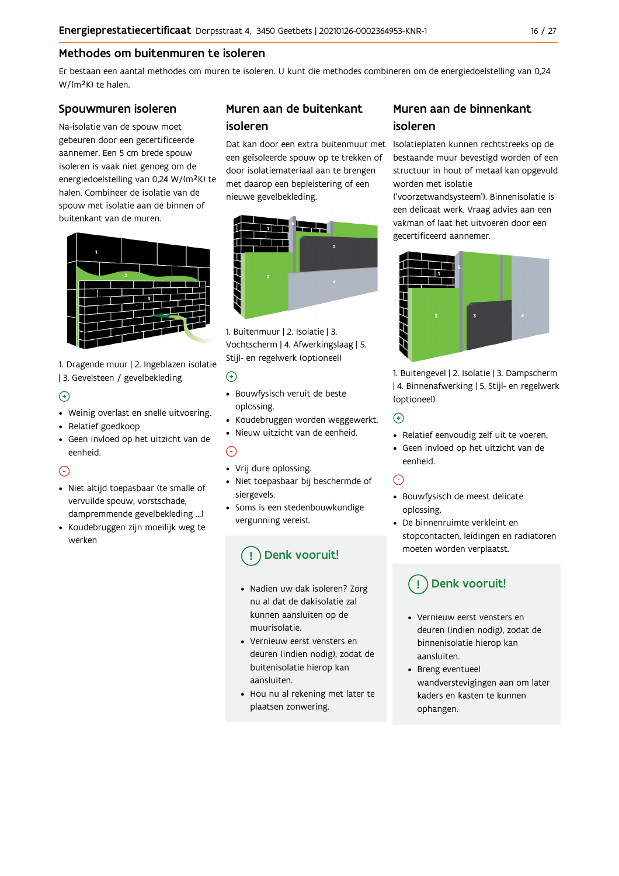#### Methodes om buitenmuren te isoleren

Er bestaan een aantal methodes om muren te isoleren. U kunt die methodes combineren om de energiedoelstelling van 0,24 W/(m<sup>2</sup>K) te halen.

#### Spouwmuren isoleren

Na-isolatie van de spouw moet gebeuren door een gecertificeerde aannemer. Een 5 cm brede spouw isoleren is vaak niet genoeg om de energiedoelstelling van 0,24 W/(m<sup>2</sup>K) te halen. Combineer de isolatie van de spouw met isolatie aan de binnen of buitenkant van de muren.



1. Dragende muur | 2. Ingeblazen isolatie | 3. Gevelsteen / gevelbekleding

#### $\bigoplus$

- Weinig overlast en snelle uitvoering.
- Relatief goedkoop
- · Geen invloed op het uitzicht van de eenheid.

#### ∩

- · Niet altijd toepasbaar (te smalle of vervuilde spouw, vorstschade, dampremmende gevelbekleding ...)
- Koudebruggen zijn moeilijk weg te werken

#### Muren aan de buitenkant isoleren

een geïsoleerde spouw op te trekken of door isolatiemateriaal aan te brengen met daarop een bepleistering of een nieuwe gevelbekleding.



1. Buitenmuur | 2. Isolatie | 3. Vochtscherm | 4. Afwerkingslaag | 5. Stijl- en regelwerk (optioneel)

#### $\odot$

- · Bouwfysisch veruit de beste oplossing.
- · Koudebruggen worden weggewerkt.
- · Nieuw uitzicht van de eenheid.

#### $\bigcap$

- Vrij dure oplossing.
- · Niet toepasbaar bij beschermde of siergevels.
- Soms is een stedenbouwkundige vergunning vereist.

### Denk vooruit!

- · Nadien uw dak isoleren? Zorg nu al dat de dakisolatie zal kunnen aansluiten op de muurisolatie
- Vernieuw eerst vensters en deuren (indien nodig), zodat de buitenisolatie hierop kan aansluiten.
- Hou nu al rekening met later te plaatsen zonwering.

### Muren aan de binnenkant isoleren

Dat kan door een extra buitenmuur met Isolatieplaten kunnen rechtstreeks op de bestaande muur bevestigd worden of een structuur in hout of metaal kan opgevuld worden met isolatie

> ('voorzetwandsysteem'). Binnenisolatie is een delicaat werk. Vraag advies aan een vakman of laat het uitvoeren door een gecertificeerd aannemer.



1. Buitengevel | 2. Isolatie | 3. Dampscherm | 4. Binnenafwerking | 5. Stijl- en regelwerk (optioneel)

#### $\bigodot$

- Relatief eenvoudig zelf uit te voeren.
- · Geen invloed op het uitzicht van de eenheid.

#### $\odot$

- · Bouwfysisch de meest delicate oplossing.
- De binnenruimte verkleint en stopcontacten, leidingen en radiatoren moeten worden verplaatst.

### Denk vooruit!

- Vernieuw eerst vensters en deuren (indien nodig), zodat de binnenisolatie hierop kan aansluiten.
- Breng eventueel wandverstevigingen aan om later kaders en kasten te kunnen ophangen.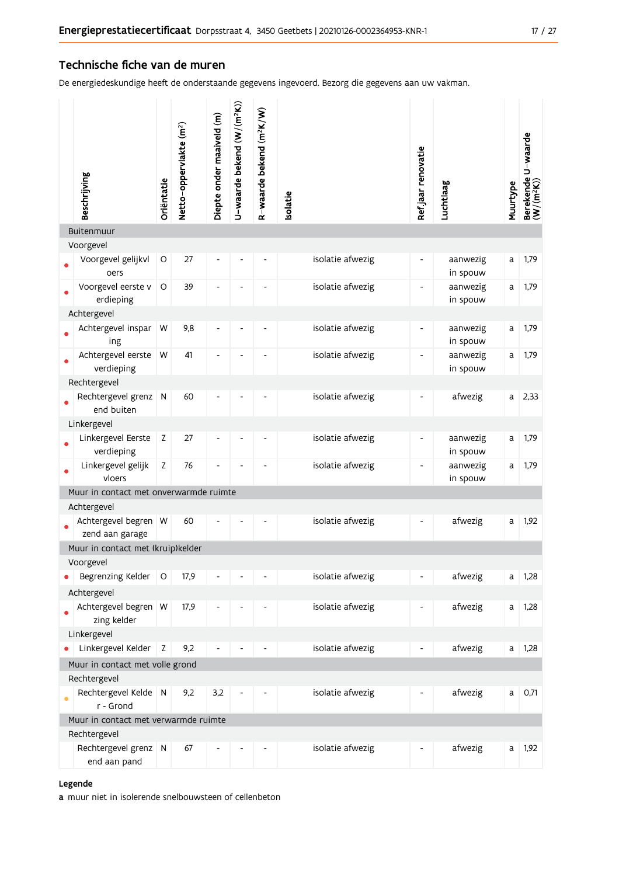#### Technische fiche van de muren

De energiedeskundige heeft de onderstaande gegevens ingevoerd. Bezorg die gegevens aan uw vakman.

| Beschrijving                                    | Oriëntatie  | Netto-oppervlakte (m <sup>2</sup> ) | Diepte onder maaiveld (m) | U-waarde bekend (W/(m <sup>2</sup> K)) | R-waarde bekend (m <sup>2</sup> K/W) | solatie          | Ref jaar renovatie       | Luchtlaag            | Muurtype | Berekende U-waarde<br>(W/(m <sup>2</sup> K)) |
|-------------------------------------------------|-------------|-------------------------------------|---------------------------|----------------------------------------|--------------------------------------|------------------|--------------------------|----------------------|----------|----------------------------------------------|
| Buitenmuur                                      |             |                                     |                           |                                        |                                      |                  |                          |                      |          |                                              |
| Voorgevel                                       |             |                                     |                           |                                        |                                      |                  |                          |                      |          |                                              |
| Voorgevel gelijkvl<br>oers                      | $\circ$     | 27                                  | ÷                         |                                        |                                      | isolatie afwezig | $\overline{\phantom{a}}$ | aanwezig<br>in spouw | a        | 1,79                                         |
| Voorgevel eerste v<br>erdieping                 | O           | 39                                  | ۰                         |                                        |                                      | isolatie afwezig | $\blacksquare$           | aanwezig<br>in spouw | a        | 1,79                                         |
| Achtergevel                                     |             |                                     |                           |                                        |                                      |                  |                          |                      |          |                                              |
| Achtergevel inspar<br>ing                       | W           | 9,8                                 |                           |                                        |                                      | isolatie afwezig | $\overline{\phantom{a}}$ | aanwezig<br>in spouw | a        | 1,79                                         |
| Achtergevel eerste<br>verdieping                | W           | 41                                  |                           |                                        |                                      | isolatie afwezig | $\blacksquare$           | aanwezig<br>in spouw | a        | 1,79                                         |
| Rechtergevel                                    |             |                                     |                           |                                        |                                      |                  |                          |                      |          |                                              |
| Rechtergevel grenz<br>end buiten                | N           | 60                                  |                           |                                        |                                      | isolatie afwezig | $\overline{\phantom{a}}$ | afwezig              | a        | 2,33                                         |
| Linkergevel                                     |             |                                     |                           |                                        |                                      |                  |                          |                      |          |                                              |
| Linkergevel Eerste<br>verdieping                | $\mathsf Z$ | 27                                  | -                         |                                        |                                      | isolatie afwezig | $\overline{\phantom{a}}$ | aanwezig<br>in spouw | a        | 1,79                                         |
| Linkergevel gelijk<br>vloers                    | Z           | 76                                  | $\overline{\phantom{0}}$  |                                        |                                      | isolatie afwezig | $\overline{\phantom{a}}$ | aanwezig<br>in spouw | a        | 1,79                                         |
| Muur in contact met onverwarmde ruimte          |             |                                     |                           |                                        |                                      |                  |                          |                      |          |                                              |
| Achtergevel                                     |             |                                     |                           |                                        |                                      |                  |                          |                      |          |                                              |
| Achtergevel begren W<br>zend aan garage         |             | 60                                  |                           |                                        |                                      | isolatie afwezig | $\overline{\phantom{a}}$ | afwezig              | a        | 1,92                                         |
| Muur in contact met (kruip)kelder               |             |                                     |                           |                                        |                                      |                  |                          |                      |          |                                              |
| Voorgevel                                       |             |                                     |                           |                                        |                                      |                  |                          |                      |          |                                              |
| Begrenzing Kelder                               | O           | 17,9                                |                           |                                        |                                      | isolatie afwezig | $\overline{\phantom{a}}$ | afwezig              | a        | 1,28                                         |
| Achtergevel                                     |             |                                     |                           |                                        |                                      |                  |                          |                      |          |                                              |
| Achtergevel begren W<br>zing kelder             |             | 17,9                                |                           |                                        |                                      | isolatie afwezig | -                        | afwezig              | a        | 1,28                                         |
| Linkergevel                                     |             |                                     |                           |                                        |                                      |                  |                          |                      |          |                                              |
| Linkergevel Kelder                              | Z           | 9,2                                 |                           |                                        |                                      | isolatie afwezig |                          | afwezig              | a        | 1,28                                         |
| Muur in contact met volle grond<br>Rechtergevel |             |                                     |                           |                                        |                                      |                  |                          |                      |          |                                              |
| Rechtergevel Kelde N<br>r - Grond               |             | 9,2                                 | 3,2                       |                                        |                                      | isolatie afwezig |                          | afwezig              | a        | 0,71                                         |
| Muur in contact met verwarmde ruimte            |             |                                     |                           |                                        |                                      |                  |                          |                      |          |                                              |
| Rechtergevel                                    |             |                                     |                           |                                        |                                      |                  |                          |                      |          |                                              |
| Rechtergevel grenz N<br>end aan pand            |             | 67                                  |                           |                                        |                                      | isolatie afwezig |                          | afwezig              | a        | 1,92                                         |
|                                                 |             |                                     |                           |                                        |                                      |                  |                          |                      |          |                                              |

#### Legende

a muur niet in isolerende snelbouwsteen of cellenbeton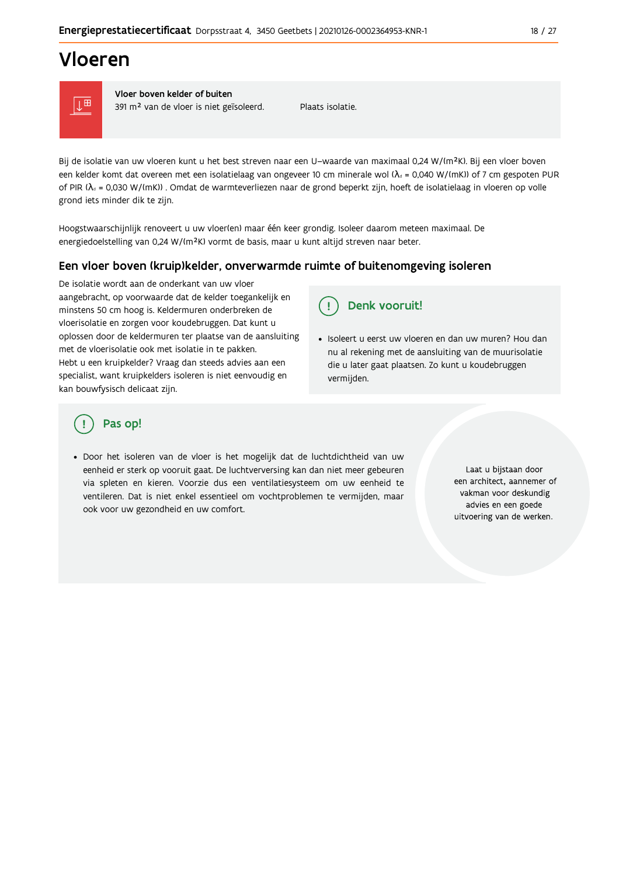## Vloeren



Vloer boven kelder of buiten 391 m<sup>2</sup> van de vloer is niet geïsoleerd.

Plaats isolatie

Bij de isolatie van uw vloeren kunt u het best streven naar een U-waarde van maximaal 0,24 W/(m<sup>2</sup>K). Bij een vloer boven een kelder komt dat overeen met een isolatielaag van ongeveer 10 cm minerale wol ( $\lambda_d$  = 0,040 W/(mK)) of 7 cm gespoten PUR of PIR ( $\lambda_a$  = 0,030 W/(mK)). Omdat de warmteverliezen naar de grond beperkt zijn, hoeft de isolatielaag in vloeren op volle grond iets minder dik te zijn.

Hoogstwaarschijnlijk renoveert u uw vloer(en) maar één keer grondig. Isoleer daarom meteen maximaal. De energiedoelstelling van 0,24 W/(m<sup>2</sup>K) vormt de basis, maar u kunt altijd streven naar beter.

#### Een vloer boven (kruip) kelder, onverwarmde ruimte of buitenomgeving isoleren

De isolatie wordt aan de onderkant van uw vloer aangebracht, op voorwaarde dat de kelder toegankelijk en minstens 50 cm hoog is. Keldermuren onderbreken de vloerisolatie en zorgen voor koudebruggen. Dat kunt u oplossen door de keldermuren ter plaatse van de aansluiting met de vloerisolatie ook met isolatie in te pakken. Hebt u een kruipkelder? Vraag dan steeds advies aan een specialist, want kruipkelders isoleren is niet eenvoudig en kan bouwfysisch delicaat zijn.

#### Denk vooruit! Ţ.

· Isoleert u eerst uw vloeren en dan uw muren? Hou dan nu al rekening met de aansluiting van de muurisolatie die u later gaat plaatsen. Zo kunt u koudebruggen vermijden.

### Pas op!

· Door het isoleren van de vloer is het mogelijk dat de luchtdichtheid van uw eenheid er sterk op vooruit gaat. De luchtverversing kan dan niet meer gebeuren via spleten en kieren. Voorzie dus een ventilatiesysteem om uw eenheid te ventileren. Dat is niet enkel essentieel om vochtproblemen te vermijden, maar ook voor uw gezondheid en uw comfort.

Laat u bijstaan door een architect, aannemer of vakman voor deskundig advies en een goede uitvoering van de werken.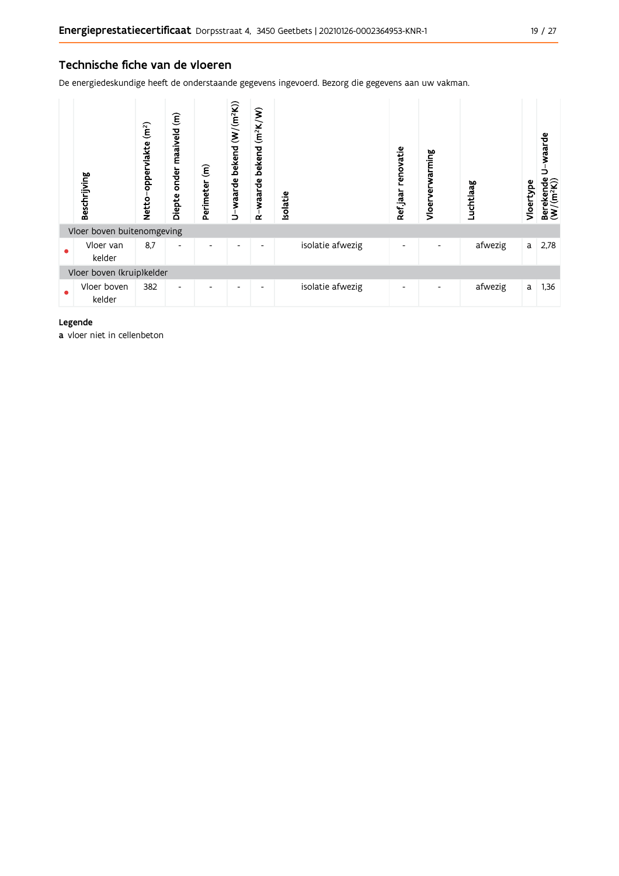#### Technische fiche van de vloeren

De energiedeskundige heeft de onderstaande gegevens ingevoerd. Bezorg die gegevens aan uw vakman.

|           | Beschrijving               | (m <sup>2</sup> )<br>oppervlakte<br><b>Netto</b> | $\widehat{\bm{\epsilon}}$<br>onder maaiveld<br>Diepte | $\widehat{\mathbf{f}}$<br>Perimeter | U-waarde bekend (W/(m <sup>2</sup> K)) | $(m^2K/W)$<br>bekend<br>waarde<br>$\alpha$ | Isolatie         | renovatie<br>Ref jaar    | Vloerverwarming | Luchtlaag | Vloertype | waarde<br>⊃<br>$\begin{array}{ll} \text{Berekende} \\ (\textbf{W}/(\textbf{m}^2\textbf{K})) \end{array}$ |
|-----------|----------------------------|--------------------------------------------------|-------------------------------------------------------|-------------------------------------|----------------------------------------|--------------------------------------------|------------------|--------------------------|-----------------|-----------|-----------|----------------------------------------------------------------------------------------------------------|
|           | Vloer boven buitenomgeving |                                                  |                                                       |                                     |                                        |                                            |                  |                          |                 |           |           |                                                                                                          |
|           | Vloer van<br>kelder        | 8,7                                              | $\overline{\phantom{a}}$                              |                                     | $\overline{\phantom{0}}$               | $\overline{\phantom{a}}$                   | isolatie afwezig | $\overline{\phantom{a}}$ |                 | afwezig   | a         | 2,78                                                                                                     |
|           | Vloer boven (kruip)kelder  |                                                  |                                                       |                                     |                                        |                                            |                  |                          |                 |           |           |                                                                                                          |
| $\bullet$ | Vloer boven<br>kelder      | 382                                              | $\overline{\phantom{a}}$                              |                                     | ٠                                      | ٠                                          | isolatie afwezig | $\overline{\phantom{a}}$ |                 | afwezig   | a         | 1,36                                                                                                     |

#### Legende

a vloer niet in cellenbeton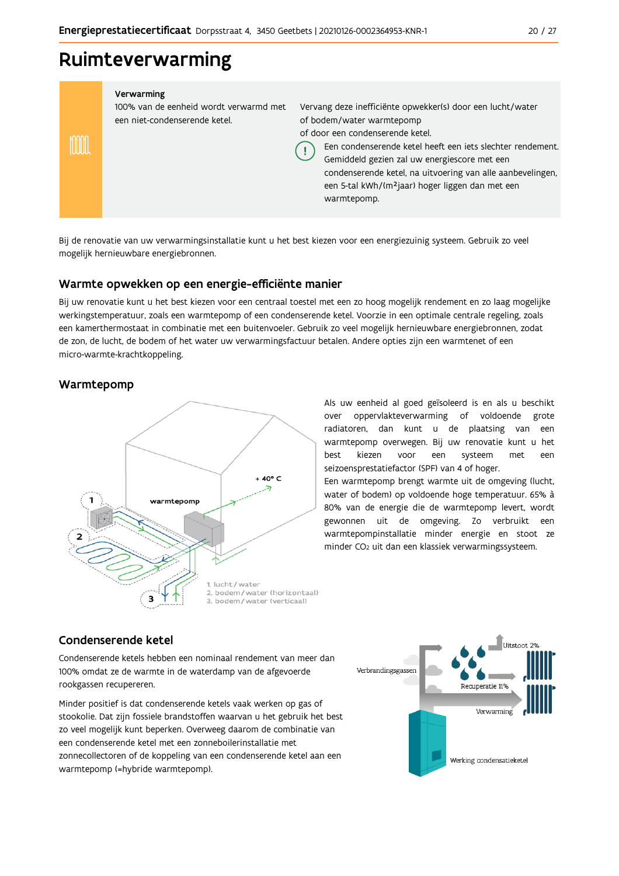### Ruimteverwarming

#### Verwarming

100% van de eenheid wordt verwarmd met een niet-condenserende ketel.

Vervang deze inefficiënte opwekker(s) door een lucht/water of bodem/water warmtepomp of door een condenserende ketel.

Een condenserende ketel heeft een jets slechter rendement. Gemiddeld gezien zal uw energiescore met een

condenserende ketel, na uitvoering van alle aanbevelingen, een 5-tal kWh/(m<sup>2</sup>jaar) hoger liggen dan met een warmtepomp.

Bij de renovatie van uw verwarmingsinstallatie kunt u het best kiezen voor een energiezuinig systeem. Gebruik zo veel mogelijk hernieuwbare energiebronnen.

Ţ

#### Warmte opwekken op een energie-efficiënte manier

Bij uw renovatie kunt u het best kiezen voor een centraal toestel met een zo hoog mogelijk rendement en zo laag mogelijke werkingstemperatuur, zoals een warmtepomp of een condenserende ketel. Voorzie in een optimale centrale regeling, zoals een kamerthermostaat in combinatie met een buitenvoeler. Gebruik zo veel mogelijk hernieuwbare energiebronnen, zodat de zon, de lucht, de bodem of het water uw verwarmingsfactuur betalen. Andere opties zijn een warmtenet of een micro-warmte-krachtkoppeling.

#### Warmtepomp

inn



Als uw eenheid al goed geïsoleerd is en als u beschikt over oppervlakteverwarming of voldoende grote radiatoren, dan kunt u de plaatsing van een warmtepomp overwegen. Bij uw renovatie kunt u het hest kiezen voor een systeem met een seizoensprestatiefactor (SPF) van 4 of hoger.

Een warmtepomp brengt warmte uit de omgeving (lucht, water of bodem) op voldoende hoge temperatuur. 65% à 80% van de energie die de warmtepomp levert, wordt gewonnen uit de omgeving. Zo verbruikt een warmtepompinstallatie minder energie en stoot ze minder CO<sub>2</sub> uit dan een klassiek verwarmingssysteem.

#### Condenserende ketel

Condenserende ketels hebben een nominaal rendement van meer dan 100% omdat ze de warmte in de waterdamp van de afgevoerde rookgassen recupereren.

Minder positief is dat condenserende ketels vaak werken op gas of stookolie. Dat zijn fossiele brandstoffen waarvan u het gebruik het best zo veel mogelijk kunt beperken. Overweeg daarom de combinatie van een condenserende ketel met een zonneboilerinstallatie met zonnecollectoren of de koppeling van een condenserende ketel aan een warmtepomp (=hybride warmtepomp).

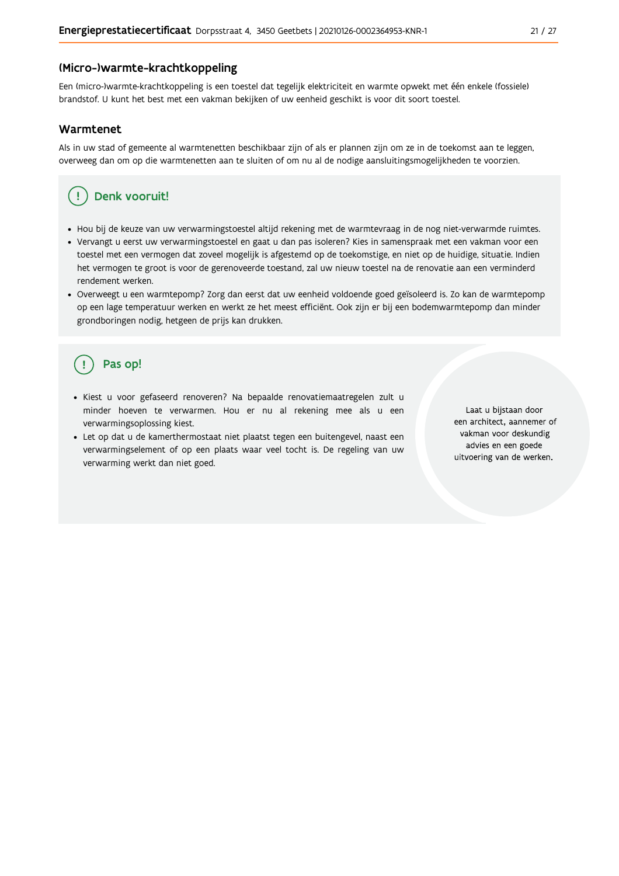#### (Micro-)warmte-krachtkoppeling

Een (micro-)warmte-krachtkoppeling is een toestel dat tegelijk elektriciteit en warmte opwekt met één enkele (fossiele) brandstof. U kunt het best met een vakman bekijken of uw eenheid geschikt is voor dit soort toestel.

#### Warmtenet

Als in uw stad of gemeente al warmtenetten beschikbaar zijn of als er plannen zijn om ze in de toekomst aan te leggen, overweeg dan om op die warmtenetten aan te sluiten of om nu al de nodige aansluitingsmogelijkheden te voorzien.

#### Denk vooruit! Ţ

- · Hou bij de keuze van uw verwarmingstoestel altijd rekening met de warmtevraag in de nog niet-verwarmde ruimtes.
- Vervangt u eerst uw verwarmingstoestel en gaat u dan pas isoleren? Kies in samenspraak met een vakman voor een toestel met een vermogen dat zoveel mogelijk is afgestemd op de toekomstige, en niet op de huidige, situatie. Indien het vermogen te groot is voor de gerenoveerde toestand, zal uw nieuw toestel na de renovatie aan een verminderd rendement werken.
- · Overweegt u een warmtepomp? Zorg dan eerst dat uw eenheid voldoende goed geïsoleerd is. Zo kan de warmtepomp op een lage temperatuur werken en werkt ze het meest efficiënt. Ook zijn er bij een bodemwarmtepomp dan minder grondboringen nodig, hetgeen de prijs kan drukken.

### Pas op!

- · Kiest u voor gefaseerd renoveren? Na bepaalde renovatiemaatregelen zult u minder hoeven te verwarmen. Hou er nu al rekening mee als u een verwarmingsoplossing kiest.
- · Let op dat u de kamerthermostaat niet plaatst tegen een buitengevel, naast een verwarmingselement of op een plaats waar veel tocht is. De regeling van uw verwarming werkt dan niet goed.

Laat u bijstaan door een architect, aannemer of vakman voor deskundig advies en een goede uitvoering van de werken.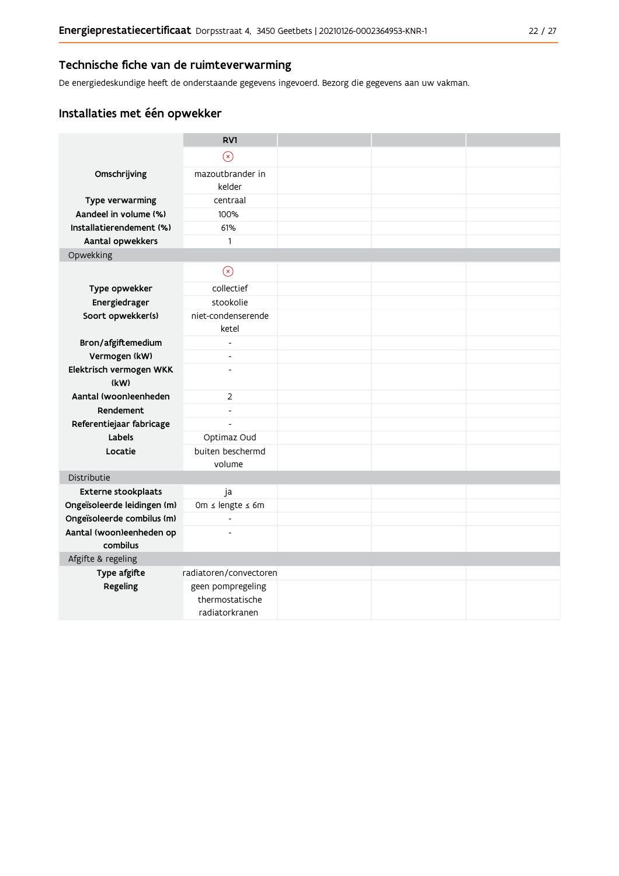#### Technische fiche van de ruimteverwarming

De energiedeskundige heeft de onderstaande gegevens ingevoerd. Bezorg die gegevens aan uw vakman.

### Installaties met één opwekker

|                                          | RV1                      |  |  |
|------------------------------------------|--------------------------|--|--|
|                                          | $\circledR$              |  |  |
| Omschrijving                             | mazoutbrander in         |  |  |
|                                          | kelder                   |  |  |
| Type verwarming<br>Aandeel in volume (%) | centraal<br>100%         |  |  |
| Installatierendement (%)                 | 61%                      |  |  |
| Aantal opwekkers                         | 1                        |  |  |
| Opwekking                                |                          |  |  |
|                                          |                          |  |  |
|                                          | $\odot$                  |  |  |
| Type opwekker                            | collectief               |  |  |
| Energiedrager                            | stookolie                |  |  |
| Soort opwekker(s)                        | niet-condenserende       |  |  |
|                                          | ketel                    |  |  |
| Bron/afgiftemedium                       | $\overline{a}$           |  |  |
| Vermogen (kW)                            | $\overline{a}$           |  |  |
| Elektrisch vermogen WKK<br>(kW)          |                          |  |  |
| Aantal (woon)eenheden                    | $\overline{2}$           |  |  |
| Rendement                                | $\overline{\phantom{a}}$ |  |  |
| Referentiejaar fabricage                 | $\overline{a}$           |  |  |
| Labels                                   | Optimaz Oud              |  |  |
| Locatie                                  | buiten beschermd         |  |  |
|                                          | volume                   |  |  |
| Distributie                              |                          |  |  |
| Externe stookplaats                      | ja                       |  |  |
| Ongeïsoleerde leidingen (m)              | Om ≤ lengte ≤ 6m         |  |  |
| Ongeïsoleerde combilus (m)               | $\overline{\phantom{a}}$ |  |  |
| Aantal (woon)eenheden op                 |                          |  |  |
| combilus                                 |                          |  |  |
| Afgifte & regeling                       |                          |  |  |
| Type afgifte                             | radiatoren/convectoren   |  |  |
| Regeling                                 | geen pompregeling        |  |  |
|                                          | thermostatische          |  |  |
|                                          | radiatorkranen           |  |  |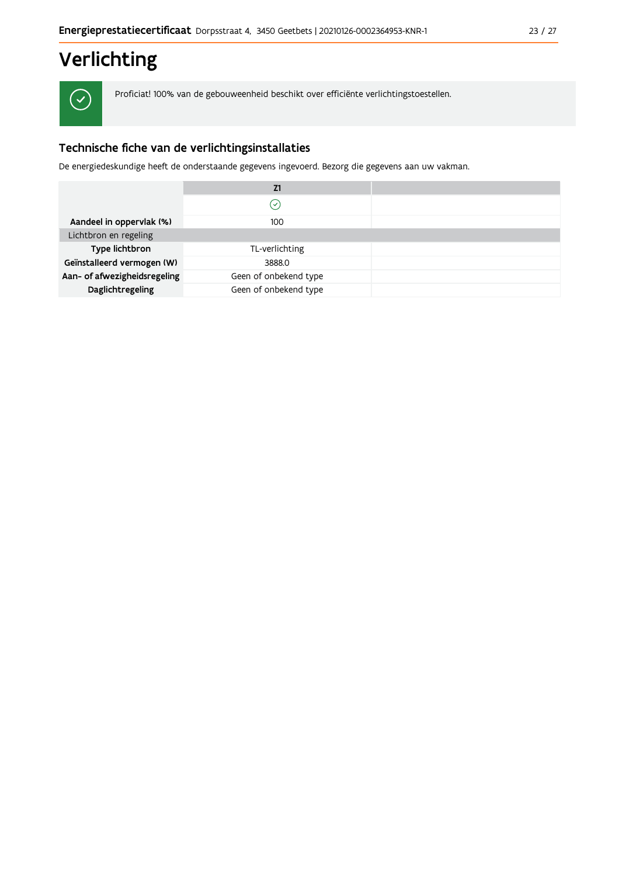# Verlichting

 $\checkmark$ 

Proficiat! 100% van de gebouweenheid beschikt over efficiënte verlichtingstoestellen.

### Technische fiche van de verlichtingsinstallaties

De energiedeskundige heeft de onderstaande gegevens ingevoerd. Bezorg die gegevens aan uw vakman.

|                              | Z1                    |  |
|------------------------------|-----------------------|--|
|                              | $\mathcal{S}$         |  |
| Aandeel in oppervlak (%)     | 100                   |  |
| Lichtbron en regeling        |                       |  |
| Type lichtbron               | TL-verlichting        |  |
| Geïnstalleerd vermogen (W)   | 3888.0                |  |
| Aan- of afwezigheidsregeling | Geen of onbekend type |  |
| Daglichtregeling             | Geen of onbekend type |  |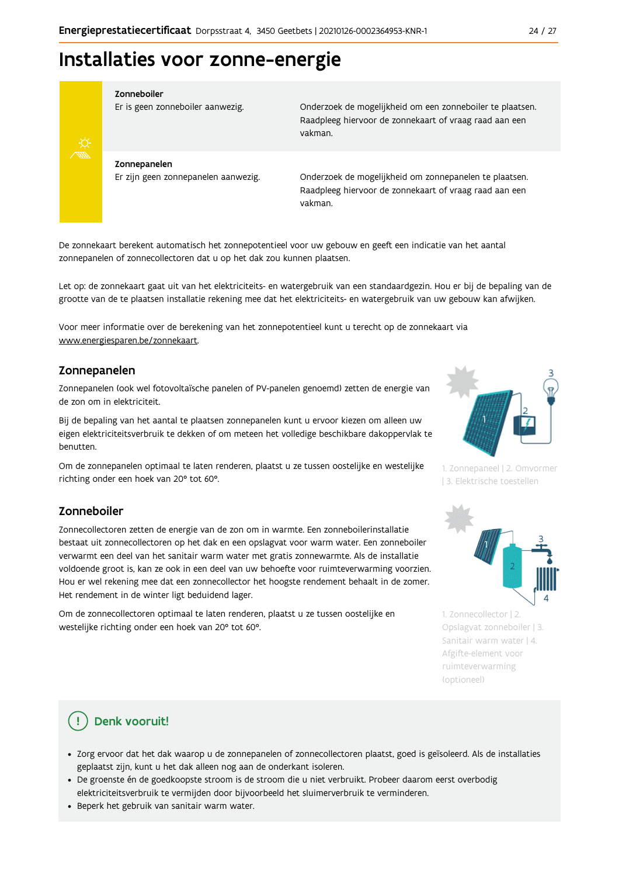## Installaties voor zonne-energie



#### Zonneboiler

Er is geen zonneboiler aanwezig.

Onderzoek de mogelijkheid om een zonneboiler te plaatsen. Raadpleeg hiervoor de zonnekaart of vraag raad aan een vakman.

Zonnepanelen Er zijn geen zonnepanelen aanwezig.

Onderzoek de mogelijkheid om zonnepanelen te plaatsen. Raadpleeg hiervoor de zonnekaart of vraag raad aan een vakman.

De zonnekaart berekent automatisch het zonnepotentieel voor uw gebouw en geeft een indicatie van het aantal zonnepanelen of zonnecollectoren dat u op het dak zou kunnen plaatsen.

Let op: de zonnekaart gaat uit van het elektriciteits- en watergebruik van een standaardgezin. Hou er bij de bepaling van de grootte van de te plaatsen installatie rekening mee dat het elektriciteits- en watergebruik van uw gebouw kan afwijken.

Voor meer informatie over de berekening van het zonnepotentieel kunt u terecht op de zonnekaart via www.energiesparen.be/zonnekaart.

#### Zonnepanelen

Zonnepanelen (ook wel fotovoltaïsche panelen of PV-panelen genoemd) zetten de energie van de zon om in elektriciteit.

Bij de bepaling van het aantal te plaatsen zonnepanelen kunt u ervoor kiezen om alleen uw eigen elektriciteitsverbruik te dekken of om meteen het volledige beschikbare dakoppervlak te benutten.

Om de zonnepanelen optimaal te laten renderen, plaatst u ze tussen oostelijke en westelijke richting onder een hoek van 20° tot 60°.

#### Zonneboiler

Zonnecollectoren zetten de energie van de zon om in warmte. Een zonneboilerinstallatie bestaat uit zonnecollectoren op het dak en een opslagvat voor warm water. Een zonneboiler verwarmt een deel van het sanitair warm water met gratis zonnewarmte. Als de installatie voldoende groot is, kan ze ook in een deel van uw behoefte voor ruimteverwarming voorzien. Hou er wel rekening mee dat een zonnecollector het hoogste rendement behaalt in de zomer. Het rendement in de winter ligt beduidend lager.

Om de zonnecollectoren optimaal te laten renderen, plaatst u ze tussen oostelijke en westelijke richting onder een hoek van 20° tot 60°.



1. Zonnepaneel | 2. Omvormer | 3. Elektrische toestellen



1. Zonnecollector | 2. Opslagvat zonneboiler | 3. Sanitair warm water | 4. Afgifte-element voor ruimteverwarming (optioneel)

### Denk vooruit!

- · Zorg ervoor dat het dak waarop u de zonnepanelen of zonnecollectoren plaatst, goed is geïsoleerd. Als de installaties geplaatst zijn, kunt u het dak alleen nog aan de onderkant isoleren.
- · De groenste én de goedkoopste stroom is de stroom die u niet verbruikt. Probeer daarom eerst overbodig elektriciteitsverbruik te vermijden door bijvoorbeeld het sluimerverbruik te verminderen.
- · Beperk het gebruik van sanitair warm water.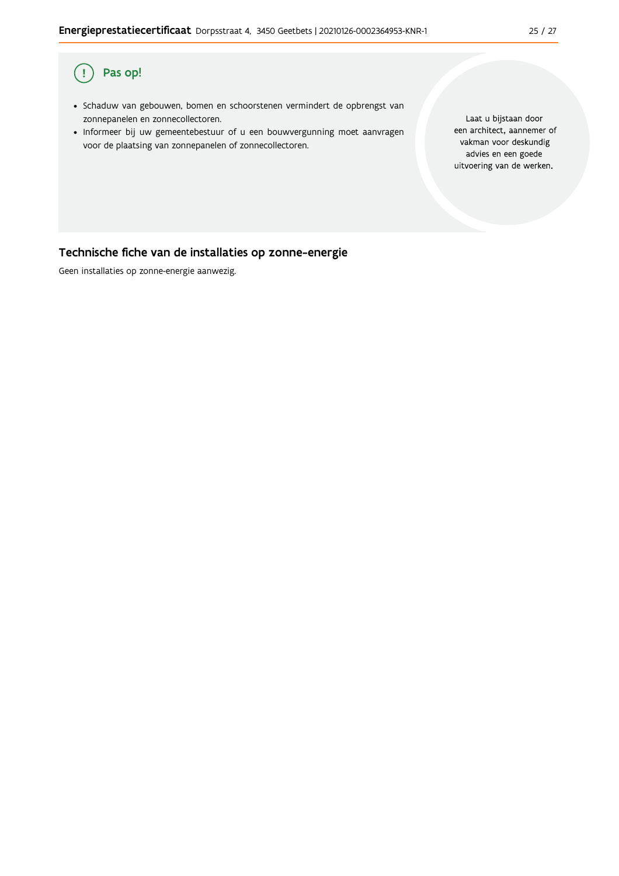#### Pas op!  $\overline{(\,}$

- · Schaduw van gebouwen, bomen en schoorstenen vermindert de opbrengst van zonnepanelen en zonnecollectoren.
- · Informeer bij uw gemeentebestuur of u een bouwvergunning moet aanvragen voor de plaatsing van zonnepanelen of zonnecollectoren.

Laat u bijstaan door een architect, aannemer of vakman voor deskundig advies en een goede uitvoering van de werken.

### Technische fiche van de installaties op zonne-energie

Geen installaties op zonne-energie aanwezig.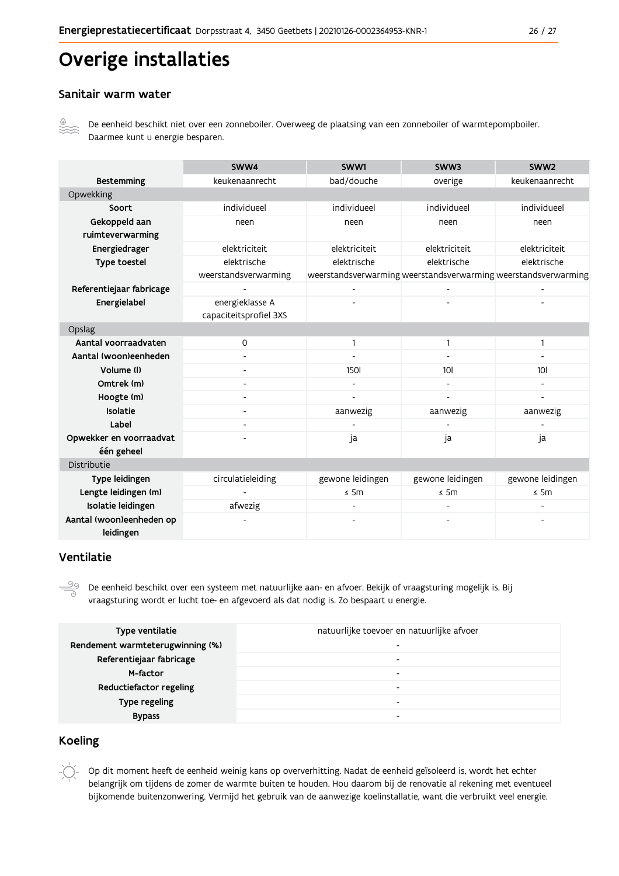# Overige installaties

#### Sanitair warm water



De eenheid beschikt niet over een zonneboiler. Overweeg de plaatsing van een zonneboiler of warmtepompboiler. Daarmee kunt u energie besparen.

|                          | SWW4                   | SWW1             | SWW3                     | SWW <sub>2</sub>                                               |
|--------------------------|------------------------|------------------|--------------------------|----------------------------------------------------------------|
| <b>Bestemming</b>        | keukenaanrecht         | bad/douche       | overige                  | keukenaanrecht                                                 |
| Opwekking                |                        |                  |                          |                                                                |
| Soort                    | individueel            | individueel      | individueel              | individueel                                                    |
| Gekoppeld aan            | neen                   | neen             | neen                     | neen                                                           |
| ruimteverwarming         |                        |                  |                          |                                                                |
| Energiedrager            | elektriciteit          | elektriciteit    | elektriciteit            | elektriciteit                                                  |
| Type toestel             | elektrische            | elektrische      | elektrische              | elektrische                                                    |
|                          | weerstandsverwarming   |                  |                          | weerstandsverwarming weerstandsverwarming weerstandsverwarming |
| Referentiejaar fabricage |                        |                  |                          |                                                                |
| Energielabel             | energieklasse A        |                  |                          |                                                                |
|                          | capaciteitsprofiel 3XS |                  |                          |                                                                |
| Opslag                   |                        |                  |                          |                                                                |
| Aantal voorraadvaten     | $\mathsf{O}$           | 1                | $\mathbf{1}$             | $\mathbf{1}$                                                   |
| Aantal (woon)eenheden    |                        |                  |                          |                                                                |
| Volume (I)               | -                      | <b>150l</b>      | 10 <sub>l</sub>          | 101                                                            |
| Omtrek (m)               | -                      |                  |                          |                                                                |
| Hoogte (m)               |                        |                  | $\blacksquare$           |                                                                |
| Isolatie                 | -                      | aanwezig         | aanwezig                 | aanwezig                                                       |
| Label                    |                        |                  |                          |                                                                |
| Opwekker en voorraadvat  |                        | ja               | ja                       | ja                                                             |
| één geheel               |                        |                  |                          |                                                                |
| Distributie              |                        |                  |                          |                                                                |
| Type leidingen           | circulatieleiding      | gewone leidingen | gewone leidingen         | gewone leidingen                                               |
| Lengte leidingen (m)     |                        | $\leq$ 5m        | $\leq$ 5m                | $\leq$ 5m                                                      |
| Isolatie leidingen       | afwezig                |                  | $\overline{\phantom{0}}$ |                                                                |
| Aantal (woon)eenheden op |                        |                  |                          |                                                                |
| leidingen                |                        |                  |                          |                                                                |

#### Ventilatie

 $\overset{\circledcirc}{=}$ De eenheid beschikt over een systeem met natuurlijke aan- en afvoer. Bekijk of vraagsturing mogelijk is. Bij vraagsturing wordt er lucht toe- en afgevoerd als dat nodig is. Zo bespaart u energie.

| Type ventilatie                  | natuurlijke toevoer en natuurlijke afvoer |
|----------------------------------|-------------------------------------------|
| Rendement warmteterugwinning (%) | $\overline{\phantom{a}}$                  |
| Referentiejaar fabricage         | $\overline{\phantom{a}}$                  |
| M-factor                         | $\overline{\phantom{0}}$                  |
| Reductiefactor regeling          | $\overline{\phantom{a}}$                  |
| Type regeling                    | $\overline{\phantom{0}}$                  |
| <b>Bypass</b>                    | $\overline{\phantom{0}}$                  |

#### **Koeling**

Op dit moment heeft de eenheid weinig kans op oververhitting. Nadat de eenheid geïsoleerd is, wordt het echter belangrijk om tijdens de zomer de warmte buiten te houden. Hou daarom bij de renovatie al rekening met eventueel bijkomende buitenzonwering. Vermijd het gebruik van de aanwezige koelinstallatie, want die verbruikt veel energie.